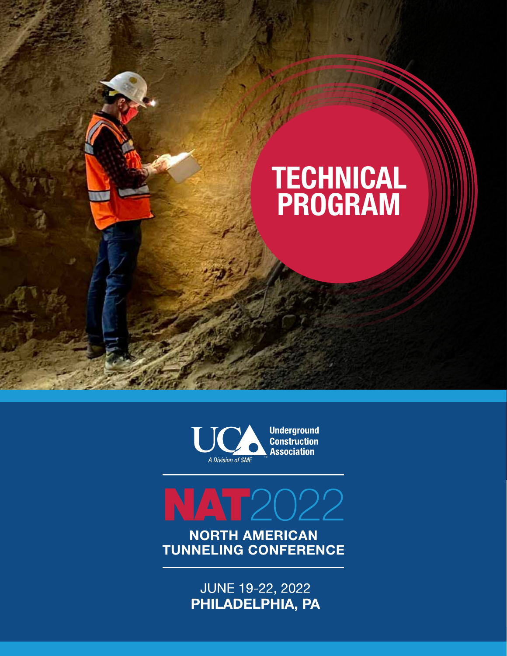



MAT2022 **NORTH AMERICAN** 

**TUNNELING CONFERENCE** 

**JUNE 19-22, 2022** PHILADELPHIA, PA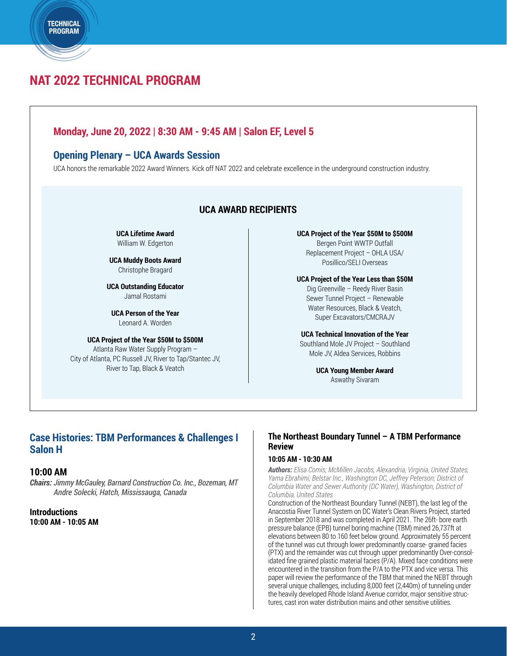# **NAT 2022 TECHNICAL PROGRAM**

**TECHNICAL** PROGRAM

### **Monday, June 20, 2022 | 8:30 AM - 9:45 AM | Salon EF, Level 5**

### **Opening Plenary – UCA Awards Session**

UCA honors the remarkable 2022 Award Winners. Kick off NAT 2022 and celebrate excellence in the underground construction industry.

### **UCA AWARD RECIPIENTS**

**UCA Lifetime Award** William W. Edgerton

**UCA Muddy Boots Award** Christophe Bragard

**UCA Outstanding Educator** Jamal Rostami

**UCA Person of the Year** Leonard A. Worden

**UCA Project of the Year \$50M to \$500M** Atlanta Raw Water Supply Program – City of Atlanta, PC Russell JV, River to Tap/Stantec JV, River to Tap, Black & Veatch

**UCA Project of the Year \$50M to \$500M** Bergen Point WWTP Outfall Replacement Project – OHLA USA/ Posillico/SELI Overseas

#### **UCA Project of the Year Less than \$50M**

Dig Greenville – Reedy River Basin Sewer Tunnel Project – Renewable Water Resources, Black & Veatch, Super Excavators/CMCRAJV

#### **UCA Technical Innovation of the Year**

Southland Mole JV Project – Southland Mole JV, Aldea Services, Robbins

> **UCA Young Member Award** Aswathy Sivaram

### **Case Histories: TBM Performances & Challenges I Salon H**

#### **10:00 AM**

*Chairs: Jimmy McGauley, Barnard Construction Co. Inc., Bozeman, MT Andre Solecki, Hatch, Mississauga, Canada*

### **Introductions 10:00 AM - 10:05 AM**

### **The Northeast Boundary Tunnel – A TBM Performance Review**

#### **10:05 AM - 10:30 AM**

*Authors: Elisa Comis; McMillen Jacobs, Alexandria, Virginia, United States, Yama Ebrahimi; Belstar Inc., Washington DC, Jeffrey Peterson; District of Columbia Water and Sewer Authority (DC Water), Washington, District of Columbia, United States*

Construction of the Northeast Boundary Tunnel (NEBT), the last leg of the Anacostia River Tunnel System on DC Water's Clean Rivers Project, started in September 2018 and was completed in April 2021. The 26ft- bore earth pressure balance (EPB) tunnel boring machine (TBM) mined 26,737ft at elevations between 80 to 160 feet below ground. Approximately 55 percent of the tunnel was cut through lower predominantly coarse- grained facies (PTX) and the remainder was cut through upper predominantly Over-consolidated fine grained plastic material facies (P/A). Mixed face conditions were encountered in the transition from the P/A to the PTX and vice versa. This paper will review the performance of the TBM that mined the NEBT through several unique challenges, including 8,000 feet (2,440m) of tunneling under the heavily developed Rhode Island Avenue corridor, major sensitive structures, cast iron water distribution mains and other sensitive utilities.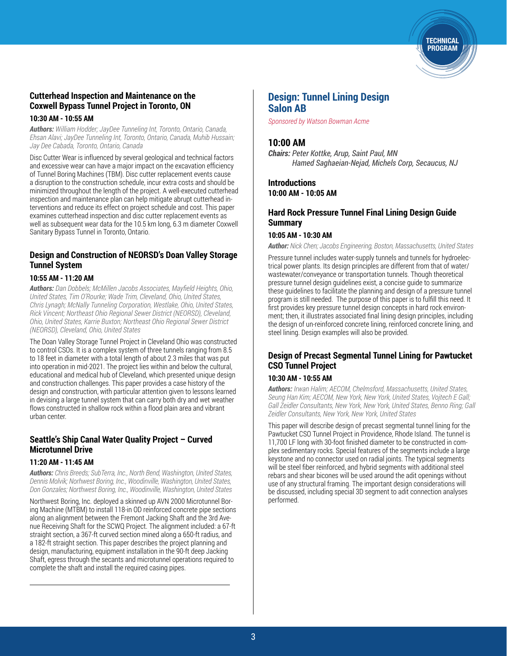

### **Cutterhead Inspection and Maintenance on the Coxwell Bypass Tunnel Project in Toronto, ON**

#### **10:30 AM - 10:55 AM**

*Authors: William Hodder; JayDee Tunneling Int, Toronto, Ontario, Canada, Ehsan Alavi; JayDee Tunneling Int, Toronto, Ontario, Canada, Muhib Hussain; Jay Dee Cabada, Toronto, Ontario, Canada*

Disc Cutter Wear is influenced by several geological and technical factors and excessive wear can have a major impact on the excavation efficiency of Tunnel Boring Machines (TBM). Disc cutter replacement events cause a disruption to the construction schedule, incur extra costs and should be minimized throughout the length of the project. A well-executed cutterhead inspection and maintenance plan can help mitigate abrupt cutterhead interventions and reduce its effect on project schedule and cost. This paper examines cutterhead inspection and disc cutter replacement events as well as subsequent wear data for the 10.5 km long, 6.3 m diameter Coxwell Sanitary Bypass Tunnel in Toronto, Ontario.

### **Design and Construction of NEORSD's Doan Valley Storage Tunnel System**

### **10:55 AM - 11:20 AM**

*Authors: Dan Dobbels; McMillen Jacobs Associates, Mayfield Heights, Ohio, United States, Tim O'Rourke; Wade Trim, Cleveland, Ohio, United States, Chris Lynagh; McNally Tunneling Corporation, Westlake, Ohio, United States, Rick Vincent; Northeast Ohio Regional Sewer District (NEORSD), Cleveland, Ohio, United States, Karrie Buxton; Northeast Ohio Regional Sewer District (NEORSD), Cleveland, Ohio, United States*

The Doan Valley Storage Tunnel Project in Cleveland Ohio was constructed to control CSOs. It is a complex system of three tunnels ranging from 8.5 to 18 feet in diameter with a total length of about 2.3 miles that was put into operation in mid-2021. The project lies within and below the cultural, educational and medical hub of Cleveland, which presented unique design and construction challenges. This paper provides a case history of the design and construction, with particular attention given to lessons learned in devising a large tunnel system that can carry both dry and wet weather flows constructed in shallow rock within a flood plain area and vibrant urban center.

### **Seattle's Ship Canal Water Quality Project – Curved Microtunnel Drive**

#### **11:20 AM - 11:45 AM**

*Authors: Chris Breeds; SubTerra, Inc., North Bend, Washington, United States, Dennis Molvik; Norhwest Boring, Inc., Woodinville, Washington, United States, Don Gonzales; Northwest Boring, Inc., Woodinville, Washington, United States*

Northwest Boring, Inc. deployed a skinned up AVN 2000 Microtunnel Boring Machine (MTBM) to install 118-in OD reinforced concrete pipe sections along an alignment between the Fremont Jacking Shaft and the 3rd Avenue Receiving Shaft for the SCWQ Project. The alignment included: a 67-ft straight section, a 367-ft curved section mined along a 650-ft radius, and a 182-ft straight section. This paper describes the project planning and design, manufacturing, equipment installation in the 90-ft deep Jacking Shaft, egress through the secants and microtunnel operations required to complete the shaft and install the required casing pipes.

### **Design: Tunnel Lining Design Salon AB**

*Sponsored by Watson Bowman Acme*

### **10:00 AM**

*Chairs: Peter Kottke, Arup, Saint Paul, MN Hamed Saghaeian-Nejad, Michels Corp, Secaucus, NJ*

**Introductions 10:00 AM - 10:05 AM**

### **Hard Rock Pressure Tunnel Final Lining Design Guide Summary**

#### **10:05 AM - 10:30 AM**

*Author: Nick Chen; Jacobs Engineering, Boston, Massachusetts, United States*

Pressure tunnel includes water-supply tunnels and tunnels for hydroelectrical power plants. Its design principles are different from that of water/ wastewater/conveyance or transportation tunnels. Though theoretical pressure tunnel design guidelines exist, a concise guide to summarize these guidelines to facilitate the planning and design of a pressure tunnel program is still needed. The purpose of this paper is to fulfill this need. It first provides key pressure tunnel design concepts in hard rock environment; then, it illustrates associated final lining design principles, including the design of un-reinforced concrete lining, reinforced concrete lining, and steel lining. Design examples will also be provided.

### **Design of Precast Segmental Tunnel Lining for Pawtucket CSO Tunnel Project**

#### **10:30 AM - 10:55 AM**

*Authors: Irwan Halim; AECOM, Chelmsford, Massachusetts, United States, Seung Han Kim; AECOM, New York, New York, United States, Vojtech E Gall; Gall Zeidler Consultants, New York, New York, United States, Benno Ring; Gall Zeidler Consultants, New York, New York, United States*

This paper will describe design of precast segmental tunnel lining for the Pawtucket CSO Tunnel Project in Providence, Rhode Island. The tunnel is 11,700 LF long with 30-foot finished diameter to be constructed in complex sedimentary rocks. Special features of the segments include a large keystone and no connector used on radial joints. The typical segments will be steel fiber reinforced, and hybrid segments with additional steel rebars and shear bicones will be used around the adit openings without use of any structural framing. The important design considerations will be discussed, including special 3D segment to adit connection analyses performed.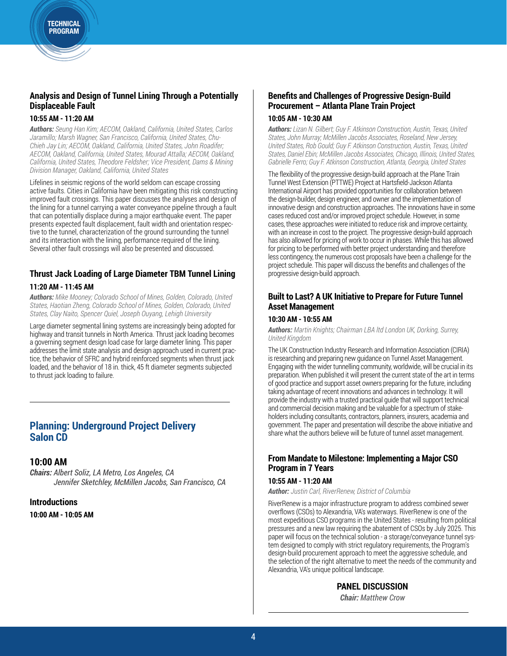### **Analysis and Design of Tunnel Lining Through a Potentially Displaceable Fault**

### **10:55 AM - 11:20 AM**

*Authors: Seung Han Kim; AECOM, Oakland, California, United States, Carlos Jaramillo; Marsh Wagner, San Francisco, California, United States, Chu-Chieh Jay Lin; AECOM, Oakland, California, United States, John Roadifer; AECOM, Oakland, California, United States, Mourad Attalla; AECOM, Oakland, California, United States, Theodore Feldsher; Vice President, Dams & Mining Division Manager, Oakland, California, United States*

Lifelines in seismic regions of the world seldom can escape crossing active faults. Cities in California have been mitigating this risk constructing improved fault crossings. This paper discusses the analyses and design of the lining for a tunnel carrying a water conveyance pipeline through a fault that can potentially displace during a major earthquake event. The paper presents expected fault displacement, fault width and orientation respective to the tunnel, characterization of the ground surrounding the tunnel and its interaction with the lining, performance required of the lining. Several other fault crossings will also be presented and discussed.

### **Thrust Jack Loading of Large Diameter TBM Tunnel Lining 11:20 AM - 11:45 AM**

*Authors: Mike Mooney; Colorado School of Mines, Golden, Colorado, United States, Haotian Zheng, Colorado School of Mines, Golden, Colorado, United States, Clay Naito, Spencer Quiel, Joseph Ouyang, Lehigh University*

Large diameter segmental lining systems are increasingly being adopted for highway and transit tunnels in North America. Thrust jack loading becomes a governing segment design load case for large diameter lining. This paper addresses the limit state analysis and design approach used in current practice, the behavior of SFRC and hybrid reinforced segments when thrust jack loaded, and the behavior of 18 in. thick, 45 ft diameter segments subjected to thrust jack loading to failure.

### **Planning: Underground Project Delivery Salon CD**

### **10:00 AM**

*Chairs: Albert Soliz, LA Metro, Los Angeles, CA Jennifer Sketchley, McMillen Jacobs, San Francisco, CA* 

### **Introductions**

**10:00 AM - 10:05 AM**

### **Benefits and Challenges of Progressive Design-Build Procurement – Atlanta Plane Train Project**

#### **10:05 AM - 10:30 AM**

*Authors: Lizan N. Gilbert; Guy F. Atkinson Construction, Austin, Texas, United States, John Murray; McMillen Jacobs Associates, Roseland, New Jersey, United States, Rob Gould; Guy F. Atkinson Construction, Austin, Texas, United States, Daniel Ebin; McMillen Jacobs Associates, Chicago, Illinois, United States, Gabrielle Ferro; Guy F. Atkinson Construction, Atlanta, Georgia, United States*

The flexibility of the progressive design-build approach at the Plane Train Tunnel West Extension (PTTWE) Project at Hartsfield-Jackson Atlanta International Airport has provided opportunities for collaboration between the design-builder, design engineer, and owner and the implementation of innovative design and construction approaches. The innovations have in some cases reduced cost and/or improved project schedule. However, in some cases, these approaches were initiated to reduce risk and improve certainty, with an increase in cost to the project. The progressive design-build approach has also allowed for pricing of work to occur in phases. While this has allowed for pricing to be performed with better project understanding and therefore less contingency, the numerous cost proposals have been a challenge for the project schedule. This paper will discuss the benefits and challenges of the progressive design-build approach.

### **Built to Last? A UK Initiative to Prepare for Future Tunnel Asset Management**

#### **10:30 AM - 10:55 AM**

*Authors: Martin Knights; Chairman LBA ltd London UK, Dorking, Surrey, United Kingdom* 

The UK Construction Industry Research and Information Association (CIRIA) is researching and preparing new guidance on Tunnel Asset Management. Engaging with the wider tunnelling community, worldwide, will be crucial in its preparation. When published it will present the current state of the art in terms of good practice and support asset owners preparing for the future, including taking advantage of recent innovations and advances in technology. It will provide the industry with a trusted practical guide that will support technical and commercial decision making and be valuable for a spectrum of stakeholders including consultants, contractors, planners, insurers, academia and government. The paper and presentation will describe the above initiative and share what the authors believe will be future of tunnel asset management.

### **From Mandate to Milestone: Implementing a Major CSO Program in 7 Years**

#### **10:55 AM - 11:20 AM**

*Author: Justin Carl, RiverRenew, District of Columbia*

RiverRenew is a major infrastructure program to address combined sewer overflows (CSOs) to Alexandria, VA's waterways. RiverRenew is one of the most expeditious CSO programs in the United States - resulting from political pressures and a new law requiring the abatement of CSOs by July 2025. This paper will focus on the technical solution - a storage/conveyance tunnel system designed to comply with strict regulatory requirements, the Program's design-build procurement approach to meet the aggressive schedule, and the selection of the right alternative to meet the needs of the community and Alexandria, VA's unique political landscape.

### **PANEL DISCUSSION**

*Chair: Matthew Crow*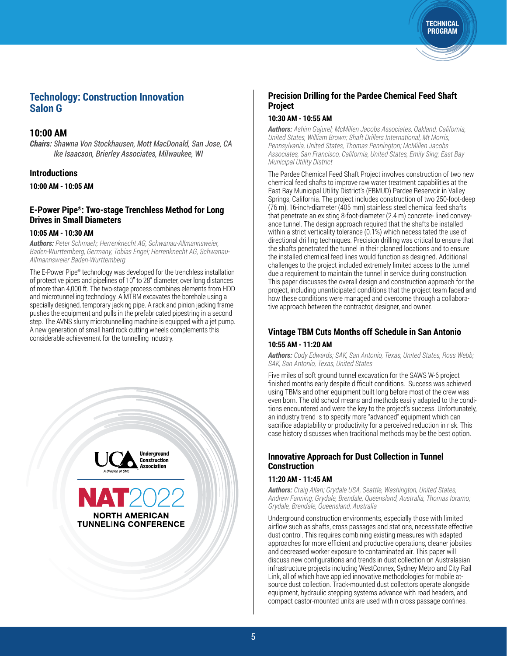### **Technology: Construction Innovation Salon G**

### **10:00 AM**

*Chairs: Shawna Von Stockhausen, Mott MacDonald, San Jose, CA Ike Isaacson, Brierley Associates, Milwaukee, WI* 

### **Introductions**

**10:00 AM - 10:05 AM**

### **E-Power Pipe®: Two-stage Trenchless Method for Long Drives in Small Diameters**

#### **10:05 AM - 10:30 AM**

*Authors: Peter Schmaeh; Herrenknecht AG, Schwanau-Allmannsweier, Baden-Wurttemberg, Germany, Tobias Engel; Herrenknecht AG, Schwanau-Allmannsweier Baden-Wurttemberg*

The E-Power Pipe® technology was developed for the trenchless installation of protective pipes and pipelines of 10" to 28" diameter, over long distances of more than 4,000 ft. The two-stage process combines elements from HDD and microtunnelling technology. A MTBM excavates the borehole using a specially designed, temporary jacking pipe. A rack and pinion jacking frame pushes the equipment and pulls in the prefabricated pipestring in a second step. The AVNS slurry microtunnelling machine is equipped with a jet pump. A new generation of small hard rock cutting wheels complements this considerable achievement for the tunnelling industry.



### **Precision Drilling for the Pardee Chemical Feed Shaft Project**

**TECHNICAL** PROGRAM

#### **10:30 AM - 10:55 AM**

*Authors: Ashim Gajurel; McMillen Jacobs Associates, Oakland, California, United States, William Brown; Shaft Drillers International, Mt Morris, Pennsylvania, United States, Thomas Pennington; McMillen Jacobs Associates, San Francisco, California, United States, Emily Sing; East Bay Municipal Utility District*

The Pardee Chemical Feed Shaft Project involves construction of two new chemical feed shafts to improve raw water treatment capabilities at the East Bay Municipal Utility District's (EBMUD) Pardee Reservoir in Valley Springs, California. The project includes construction of two 250-foot-deep (76 m), 16-inch-diameter (405 mm) stainless steel chemical feed shafts that penetrate an existing 8-foot-diameter (2.4 m) concrete- lined conveyance tunnel. The design approach required that the shafts be installed within a strict verticality tolerance (0.1%) which necessitated the use of directional drilling techniques. Precision drilling was critical to ensure that the shafts penetrated the tunnel in their planned locations and to ensure the installed chemical feed lines would function as designed. Additional challenges to the project included extremely limited access to the tunnel due a requirement to maintain the tunnel in service during construction. This paper discusses the overall design and construction approach for the project, including unanticipated conditions that the project team faced and how these conditions were managed and overcome through a collaborative approach between the contractor, designer, and owner.

### **Vintage TBM Cuts Months off Schedule in San Antonio 10:55 AM - 11:20 AM**

*Authors: Cody Edwards; SAK, San Antonio, Texas, United States, Ross Webb; SAK, San Antonio, Texas, United States*

Five miles of soft ground tunnel excavation for the SAWS W-6 project finished months early despite difficult conditions. Success was achieved using TBMs and other equipment built long before most of the crew was even born. The old school means and methods easily adapted to the conditions encountered and were the key to the project's success. Unfortunately, an industry trend is to specify more "advanced" equipment which can sacrifice adaptability or productivity for a perceived reduction in risk. This case history discusses when traditional methods may be the best option.

### **Innovative Approach for Dust Collection in Tunnel Construction**

#### **11:20 AM - 11:45 AM**

*Authors: Craig Allan; Grydale USA, Seattle, Washington, United States, Andrew Fanning; Grydale, Brendale, Queensland, Australia, Thomas Ioramo; Grydale, Brendale, Queensland, Australia*

Underground construction environments, especially those with limited airflow such as shafts, cross passages and stations, necessitate effective dust control. This requires combining existing measures with adapted approaches for more efficient and productive operations, cleaner jobsites and decreased worker exposure to contaminated air. This paper will discuss new configurations and trends in dust collection on Australasian infrastructure projects including WestConnex, Sydney Metro and City Rail Link, all of which have applied innovative methodologies for mobile atsource dust collection. Track-mounted dust collectors operate alongside equipment, hydraulic stepping systems advance with road headers, and compact castor-mounted units are used within cross passage confines.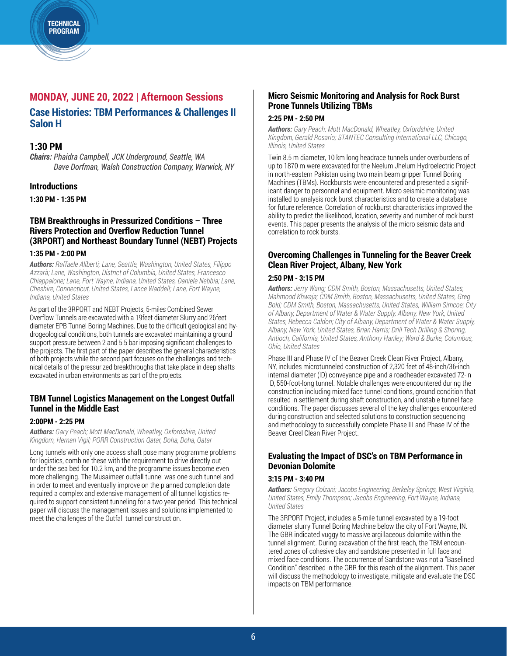#### **TECHNICAL** PROGRAM

## **MONDAY, JUNE 20, 2022 | Afternoon Sessions Case Histories: TBM Performances & Challenges II Salon H**

### **1:30 PM**

*Chairs: Phaidra Campbell, JCK Underground, Seattle, WA Dave Dorfman, Walsh Construction Company, Warwick, NY* 

### **Introductions**

**1:30 PM - 1:35 PM**

### **TBM Breakthroughs in Pressurized Conditions – Three Rivers Protection and Overflow Reduction Tunnel (3RPORT) and Northeast Boundary Tunnel (NEBT) Projects**

#### **1:35 PM - 2:00 PM**

*Authors: Raffaele Aliberti; Lane, Seattle, Washington, United States, Filippo Azzarà; Lane, Washington, District of Columbia, United States, Francesco Chiappalone; Lane, Fort Wayne, Indiana, United States, Daniele Nebbia; Lane, Cheshire, Connecticut, United States, Lance Waddell; Lane, Fort Wayne, Indiana, United States*

As part of the 3RPORT and NEBT Projects, 5-miles Combined Sewer Overflow Tunnels are excavated with a 19feet diameter Slurry and 26feet diameter EPB Tunnel Boring Machines. Due to the difficult geological and hydrogeological conditions, both tunnels are excavated maintaining a ground support pressure between 2 and 5.5 bar imposing significant challenges to the projects. The first part of the paper describes the general characteristics of both projects while the second part focuses on the challenges and technical details of the pressurized breakthroughs that take place in deep shafts excavated in urban environments as part of the projects.

### **TBM Tunnel Logistics Management on the Longest Outfall Tunnel in the Middle East**

### **2:00PM - 2:25 PM**

*Authors: Gary Peach; Mott MacDonald, Wheatley, Oxfordshire, United Kingdom, Hernan Vigil; PORR Construction Qatar, Doha, Doha, Qatar*

Long tunnels with only one access shaft pose many programme problems for logistics, combine these with the requirement to drive directly out under the sea bed for 10.2 km, and the programme issues become even more challenging. The Musaimeer outfall tunnel was one such tunnel and in order to meet and eventually improve on the planned completion date required a complex and extensive management of all tunnel logistics required to support consistent tunneling for a two year period. This technical paper will discuss the management issues and solutions implemented to meet the challenges of the Outfall tunnel construction.

### **Micro Seismic Monitoring and Analysis for Rock Burst Prone Tunnels Utilizing TBMs**

#### **2:25 PM - 2:50 PM**

*Authors: Gary Peach; Mott MacDonald, Wheatley, Oxfordshire, United Kingdom, Gerald Rosario; STANTEC Consulting International LLC, Chicago, Illinois, United States*

Twin 8.5 m diameter, 10 km long headrace tunnels under overburdens of up to 1870 m were excavated for the Neelum Jhelum Hydroelectric Project in north-eastern Pakistan using two main beam gripper Tunnel Boring Machines (TBMs). Rockbursts were encountered and presented a significant danger to personnel and equipment. Micro seismic monitoring was installed to analysis rock burst characteristics and to create a database for future reference. Correlation of rockburst characteristics improved the ability to predict the likelihood, location, severity and number of rock burst events. This paper presents the analysis of the micro seismic data and correlation to rock bursts.

### **Overcoming Challenges in Tunneling for the Beaver Creek Clean River Project, Albany, New York**

### **2:50 PM - 3:15 PM**

*Authors: Jerry Wang; CDM Smith, Boston, Massachusetts, United States, Mahmood Khwaja; CDM Smith, Boston, Massachusetts, United States, Greg Bold; CDM Smith, Boston, Massachusetts, United States, William Simcoe; City of Albany, Department of Water & Water Supply, Albany, New York, United States, Rebecca Caldon; City of Albany, Department of Water & Water Supply, Albany, New York, United States, Brian Harris; Drill Tech Drilling & Shoring, Antioch, California, United States, Anthony Hanley; Ward & Burke, Columbus, Ohio, United States*

Phase III and Phase IV of the Beaver Creek Clean River Project, Albany, NY, includes microtunneled construction of 2,320 feet of 48-inch/36-inch internal diameter (ID) conveyance pipe and a roadheader excavated 72-in ID, 550-foot-long tunnel. Notable challenges were encountered during the construction including mixed face tunnel conditions, ground condition that resulted in settlement during shaft construction, and unstable tunnel face conditions. The paper discusses several of the key challenges encountered during construction and selected solutions to construction sequencing and methodology to successfully complete Phase III and Phase IV of the Beaver Creel Clean River Project.

### **Evaluating the Impact of DSC's on TBM Performance in Devonian Dolomite**

#### **3:15 PM - 3:40 PM**

*Authors: Gregory Colzani; Jacobs Engineering, Berkeley Springs, West Virginia, United States, Emily Thompson; Jacobs Engineering, Fort Wayne, Indiana, United States*

The 3RPORT Project, includes a 5-mile tunnel excavated by a 19-foot diameter slurry Tunnel Boring Machine below the city of Fort Wayne, IN. The GBR indicated vuggy to massive argillaceous dolomite within the tunnel alignment. During excavation of the first reach, the TBM encountered zones of cohesive clay and sandstone presented in full face and mixed face conditions. The occurrence of Sandstone was not a "Baselined Condition" described in the GBR for this reach of the alignment. This paper will discuss the methodology to investigate, mitigate and evaluate the DSC impacts on TBM performance.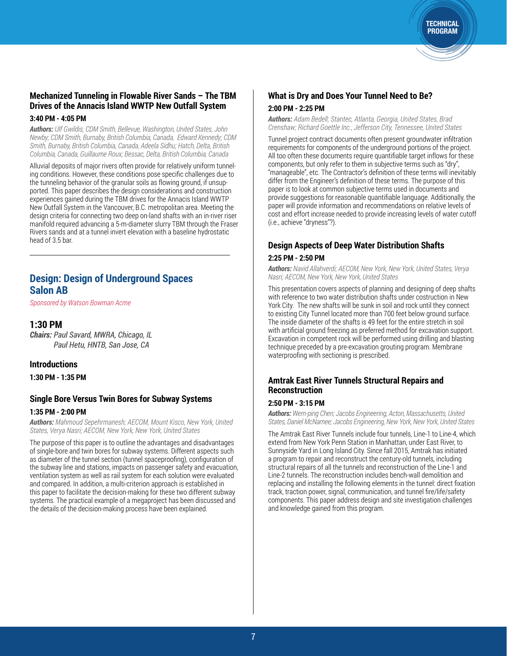### **Mechanized Tunneling in Flowable River Sands – The TBM Drives of the Annacis Island WWTP New Outfall System**

#### **3:40 PM - 4:05 PM**

*Authors: Ulf Gwildis; CDM Smith, Bellevue, Washington, United States, John Newby; CDM Smith, Burnaby, British Columbia, Canada, Edward Kennedy; CDM Smith, Burnaby, British Columbia, Canada, Adeela Sidhu; Hatch, Delta, British Columbia, Canada, Guillaume Roux; Bessac, Delta, British Columbia, Canada*

Alluvial deposits of major rivers often provide for relatively uniform tunneling conditions. However, these conditions pose specific challenges due to the tunneling behavior of the granular soils as flowing ground, if unsupported. This paper describes the design considerations and construction experiences gained during the TBM drives for the Annacis Island WWTP New Outfall System in the Vancouver, B.C. metropolitan area. Meeting the design criteria for connecting two deep on-land shafts with an in-river riser manifold required advancing a 5-m-diameter slurry TBM through the Fraser Rivers sands and at a tunnel invert elevation with a baseline hydrostatic head of 3.5 bar.

### **Design: Design of Underground Spaces Salon AB**

*Sponsored by Watson Bowman Acme*

### **1:30 PM**

*Chairs: Paul Savard, MWRA, Chicago, IL Paul Hetu, HNTB, San Jose, CA*

### **Introductions**

**1:30 PM - 1:35 PM**

### **Single Bore Versus Twin Bores for Subway Systems 1:35 PM - 2:00 PM**

*Authors: Mahmoud Sepehrmanesh; AECOM, Mount Kisco, New York, United States, Verya Nasri; AECOM, New York, New York, United States*

The purpose of this paper is to outline the advantages and disadvantages of single-bore and twin bores for subway systems. Different aspects such as diameter of the tunnel section (tunnel spaceproofing), configuration of the subway line and stations, impacts on passenger safety and evacuation, ventilation system as well as rail system for each solution were evaluated and compared. In addition, a multi-criterion approach is established in this paper to facilitate the decision-making for these two different subway systems. The practical example of a megaproject has been discussed and the details of the decision-making process have been explained.

### **What is Dry and Does Your Tunnel Need to Be? 2:00 PM - 2:25 PM**

*Authors: Adam Bedell; Stantec, Atlanta, Georgia, United States, Brad Crenshaw; Richard Goettle Inc., Jefferson City, Tennessee, United States*

**TECHNICAL** PROGRAM

Tunnel project contract documents often present groundwater infiltration requirements for components of the underground portions of the project. All too often these documents require quantifiable target inflows for these components, but only refer to them in subjective terms such as "dry", "manageable", etc. The Contractor's definition of these terms will inevitably differ from the Engineer's definition of these terms. The purpose of this paper is to look at common subjective terms used in documents and provide suggestions for reasonable quantifiable language. Additionally, the paper will provide information and recommendations on relative levels of cost and effort increase needed to provide increasing levels of water cutoff (i.e., achieve "dryness"?).

### **Design Aspects of Deep Water Distribution Shafts 2:25 PM - 2:50 PM**

*Authors: Navid Allahverdi; AECOM, New York, New York, United States, Verya Nasri; AECOM, New York, New York, United States*

This presentation covers aspects of planning and designing of deep shafts with reference to two water distribution shafts under costruction in New York City. The new shafts will be sunk in soil and rock until they connect to existing City Tunnel located more than 700 feet below ground surface. The inside diameter of the shafts is 49 feet for the entire stretch in soil with artificial ground freezing as preferred method for excavation support. Excavation in competent rock will be performed using drilling and blasting technique preceded by a pre-excavation grouting program. Membrane waterproofing with sectioning is prescribed.

### **Amtrak East River Tunnels Structural Repairs and Reconstruction**

#### **2:50 PM - 3:15 PM**

*Authors: Wern-ping Chen; Jacobs Engineering, Acton, Massachusetts, United States, Daniel McNamee; Jacobs Engineering, New York, New York, United States*

The Amtrak East River Tunnels include four tunnels, Line-1 to Line-4, which extend from New York Penn Station in Manhattan, under East River, to Sunnyside Yard in Long Island City. Since fall 2015, Amtrak has initiated a program to repair and reconstruct the century-old tunnels, including structural repairs of all the tunnels and reconstruction of the Line-1 and Line-2 tunnels. The reconstruction includes bench-wall demolition and replacing and installing the following elements in the tunnel: direct fixation track, traction power, signal, communication, and tunnel fire/life/safety components. This paper address design and site investigation challenges and knowledge gained from this program.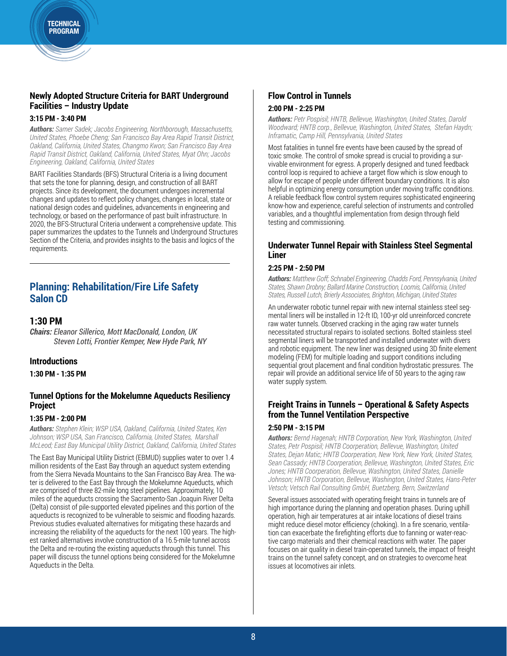### **Newly Adopted Structure Criteria for BART Underground Facilities – Industry Update**

#### **3:15 PM - 3:40 PM**

*Authors: Samer Sadek; Jacobs Engineering, Northborough, Massachusetts, United States, Phoebe Cheng; San Francisco Bay Area Rapid Transit District, Oakland, California, United States, Changmo Kwon; San Francisco Bay Area Rapid Transit District, Oakland, California, United States, Myat Ohn; Jacobs Engineering, Oakland, California, United States*

BART Facilities Standards (BFS) Structural Criteria is a living document that sets the tone for planning, design, and construction of all BART projects. Since its development, the document undergoes incremental changes and updates to reflect policy changes, changes in local, state or national design codes and guidelines, advancements in engineering and technology, or based on the performance of past built infrastructure. In 2020, the BFS-Structural Criteria underwent a comprehensive update. This paper summarizes the updates to the Tunnels and Underground Structures Section of the Criteria, and provides insights to the basis and logics of the requirements.

### **Planning: Rehabilitation/Fire Life Safety Salon CD**

### **1:30 PM**

*Chairs: Eleanor Sillerico, Mott MacDonald, London, UK Steven Lotti, Frontier Kemper, New Hyde Park, NY*

### **Introductions**

**1:30 PM - 1:35 PM**

### **Tunnel Options for the Mokelumne Aqueducts Resiliency Project**

### **1:35 PM - 2:00 PM**

*Authors: Stephen Klein; WSP USA, Oakland, California, United States, Ken Johnson; WSP USA, San Francisco, California, United States, Marshall McLeod; East Bay Municipal Utility District, Oakland, California, United States* 

The East Bay Municipal Utility District (EBMUD) supplies water to over 1.4 million residents of the East Bay through an aqueduct system extending from the Sierra Nevada Mountains to the San Francisco Bay Area. The water is delivered to the East Bay through the Mokelumne Aqueducts, which are comprised of three 82-mile long steel pipelines. Approximately, 10 miles of the aqueducts crossing the Sacramento-San Joaquin River Delta (Delta) consist of pile-supported elevated pipelines and this portion of the aqueducts is recognized to be vulnerable to seismic and flooding hazards. Previous studies evaluated alternatives for mitigating these hazards and increasing the reliability of the aqueducts for the next 100 years. The highest ranked alternatives involve construction of a 16.5-mile tunnel across the Delta and re-routing the existing aqueducts through this tunnel. This paper will discuss the tunnel options being considered for the Mokelumne Aqueducts in the Delta.

### **Flow Control in Tunnels 2:00 PM - 2:25 PM**

*Authors: Petr Pospisil; HNTB, Bellevue, Washington, United States, Darold Woodward; HNTB corp., Bellevue, Washington, United States, Stefan Haydn; Inframatic, Camp Hill, Pennsylvania, United States*

Most fatalities in tunnel fire events have been caused by the spread of toxic smoke. The control of smoke spread is crucial to providing a survivable environment for egress. A properly designed and tuned feedback control loop is required to achieve a target flow which is slow enough to allow for escape of people under different boundary conditions. It is also helpful in optimizing energy consumption under moving traffic conditions. A reliable feedback flow control system requires sophisticated engineering know-how and experience, careful selection of instruments and controlled variables, and a thoughtful implementation from design through field testing and commissioning.

### **Underwater Tunnel Repair with Stainless Steel Segmental Liner**

#### **2:25 PM - 2:50 PM**

*Authors: Matthew Goff; Schnabel Engineering, Chadds Ford, Pennsylvania, United States, Shawn Drobny; Ballard Marine Construction, Loomis, California, United States, Russell Lutch, Brierly Associates, Brighton, Michigan, United States*

An underwater robotic tunnel repair with new internal stainless steel segmental liners will be installed in 12-ft ID, 100-yr old unreinforced concrete raw water tunnels. Observed cracking in the aging raw water tunnels necessitated structural repairs to isolated sections. Bolted stainless steel segmental liners will be transported and installed underwater with divers and robotic equipment. The new liner was designed using 3D finite element modeling (FEM) for multiple loading and support conditions including sequential grout placement and final condition hydrostatic pressures. The repair will provide an additional service life of 50 years to the aging raw water supply system.

### **Freight Trains in Tunnels – Operational & Safety Aspects from the Tunnel Ventilation Perspective**

#### **2:50 PM - 3:15 PM**

*Authors: Bernd Hagenah; HNTB Corporation, New York, Washington, United States, Petr Pospisil; HNTB Coorperation, Bellevue, Washington, United States, Dejan Matic; HNTB Coorperation, New York, New York, United States, Sean Cassady; HNTB Coorperation, Bellevue, Washington, United States, Eric Jones; HNTB Coorperation, Bellevue, Washington, United States, Danielle Johnson; HNTB Corporation, Bellevue, Washington, United States, Hans-Peter Vetsch; Vetsch Rail Consulting GmbH, Buetzberg, Bern, Switzerland*

Several issues associated with operating freight trains in tunnels are of high importance during the planning and operation phases. During uphill operation, high air temperatures at air intake locations of diesel trains might reduce diesel motor efficiency (choking). In a fire scenario, ventilation can exacerbate the firefighting efforts due to fanning or water-reactive cargo materials and their chemical reactions with water. The paper focuses on air quality in diesel train-operated tunnels, the impact of freight trains on the tunnel safety concept, and on strategies to overcome heat issues at locomotives air inlets.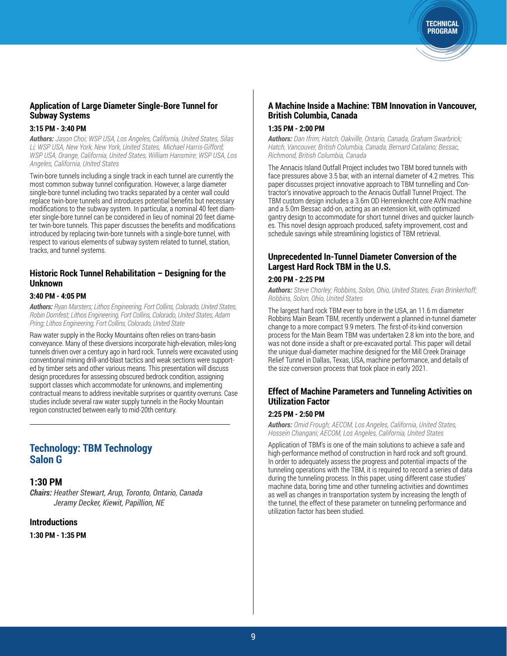**Application of Large Diameter Single-Bore Tunnel for Subway Systems**

#### **3:15 PM - 3:40 PM**

*Authors: Jason Choi; WSP USA, Los Angeles, California, United States, Silas Li; WSP USA, New York, New York, United States, Michael Harris-Gifford; WSP USA, Orange, California, United States, William Hansmire; WSP USA, Los Angeles, California, United States*

Twin-bore tunnels including a single track in each tunnel are currently the most common subway tunnel configuration. However, a large diameter single-bore tunnel including two tracks separated by a center wall could replace twin-bore tunnels and introduces potential benefits but necessary modifications to the subway system. In particular, a nominal 40 feet diameter single-bore tunnel can be considered in lieu of nominal 20 feet diameter twin-bore tunnels. This paper discusses the benefits and modifications introduced by replacing twin-bore tunnels with a single-bore tunnel, with respect to various elements of subway system related to tunnel, station, tracks, and tunnel systems.

### **Historic Rock Tunnel Rehabilitation – Designing for the Unknown**

#### **3:40 PM - 4:05 PM**

*Authors: Ryan Marsters; Lithos Engineering, Fort Collins, Colorado, United States, Robin Dornfest; Lithos Engineering, Fort Collins, Colorado, United States, Adam Pring; Lithos Engineering, Fort Collins, Colorado, United State*

Raw water supply in the Rocky Mountains often relies on trans-basin conveyance. Many of these diversions incorporate high-elevation, miles-long tunnels driven over a century ago in hard rock. Tunnels were excavated using conventional mining drill-and-blast tactics and weak sections were supported by timber sets and other various means. This presentation will discuss design procedures for assessing obscured bedrock condition, assigning support classes which accommodate for unknowns, and implementing contractual means to address inevitable surprises or quantity overruns. Case studies include several raw water supply tunnels in the Rocky Mountain region constructed between early to mid-20th century.

### **Technology: TBM Technology Salon G**

### **1:30 PM**

*Chairs: Heather Stewart, Arup, Toronto, Ontario, Canada Jeramy Decker, Kiewit, Papillion, NE* 

#### **Introductions**

**1:30 PM - 1:35 PM**

### **A Machine Inside a Machine: TBM Innovation in Vancouver, British Columbia, Canada**

**TECHNICAL** PROGRAM

#### **1:35 PM - 2:00 PM**

*Authors: Dan Ifrim; Hatch, Oakville, Ontario, Canada, Graham Swarbrick; Hatch, Vancouver, British Columbia, Canada, Bernard Catalano; Bessac, Richmond, British Columbia, Canada*

The Annacis Island Outfall Project includes two TBM bored tunnels with face pressures above 3.5 bar, with an internal diameter of 4.2 metres. This paper discusses project innovative approach to TBM tunnelling and Contractor's innovative approach to the Annacis Outfall Tunnel Project. The TBM custom design includes a 3.6m OD Herrenknecht core AVN machine and a 5.0m Bessac add-on, acting as an extension kit, with optimized gantry design to accommodate for short tunnel drives and quicker launches. This novel design approach produced, safety improvement, cost and schedule savings while streamlining logistics of TBM retrieval.

### **Unprecedented In-Tunnel Diameter Conversion of the Largest Hard Rock TBM in the U.S.**

#### **2:00 PM - 2:25 PM**

*Authors: Steve Chorley; Robbins, Solon, Ohio, United States, Evan Brinkerhoff; Robbins, Solon, Ohio, United States*

The largest hard rock TBM ever to bore in the USA, an 11.6 m diameter Robbins Main Beam TBM, recently underwent a planned in-tunnel diameter change to a more compact 9.9 meters. The first-of-its-kind conversion process for the Main Beam TBM was undertaken 2.8 km into the bore, and was not done inside a shaft or pre-excavated portal. This paper will detail the unique dual-diameter machine designed for the Mill Creek Drainage Relief Tunnel in Dallas, Texas, USA, machine performance, and details of the size conversion process that took place in early 2021.

### **Effect of Machine Parameters and Tunneling Activities on Utilization Factor**

#### **2:25 PM - 2:50 PM**

*Authors: Omid Frough; AECOM, Los Angeles, California, United States, Hossein Changani; AECOM, Los Angeles, California, United States*

Application of TBM's is one of the main solutions to achieve a safe and high-performance method of construction in hard rock and soft ground. In order to adequately assess the progress and potential impacts of the tunneling operations with the TBM, it is required to record a series of data during the tunneling process. In this paper, using different case studies' machine data, boring time and other tunneling activities and downtimes as well as changes in transportation system by increasing the length of the tunnel, the effect of these parameter on tunneling performance and utilization factor has been studied.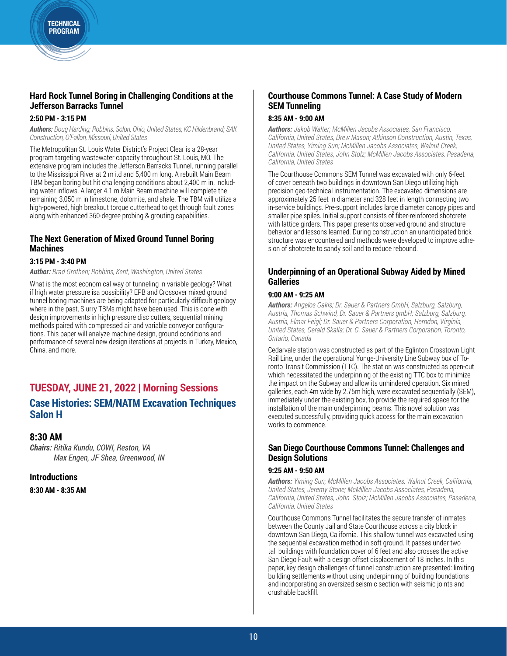### **Hard Rock Tunnel Boring in Challenging Conditions at the Jefferson Barracks Tunnel**

### **2:50 PM - 3:15 PM**

*Authors: Doug Harding; Robbins, Solon, Ohio, United States, KC Hildenbrand; SAK Construction, O'Fallon, Missouri, United States*

The Metropolitan St. Louis Water District's Project Clear is a 28-year program targeting wastewater capacity throughout St. Louis, MO. The extensive program includes the Jefferson Barracks Tunnel, running parallel to the Mississippi River at 2 m i.d and 5,400 m long. A rebuilt Main Beam TBM began boring but hit challenging conditions about 2,400 m in, including water inflows. A larger 4.1 m Main Beam machine will complete the remaining 3,050 m in limestone, dolomite, and shale. The TBM will utilize a high-powered, high breakout torque cutterhead to get through fault zones along with enhanced 360-degree probing & grouting capabilities.

### **The Next Generation of Mixed Ground Tunnel Boring Machines**

### **3:15 PM - 3:40 PM**

*Author: Brad Grothen; Robbins, Kent, Washington, United States*

What is the most economical way of tunneling in variable geology? What if high water pressure isa possibility? EPB and Crossover mixed ground tunnel boring machines are being adapted for particularly difficult geology where in the past, Slurry TBMs might have been used. This is done with design improvements in high pressure disc cutters, sequential mining methods paired with compressed air and variable conveyor configurations. This paper will analyze machine design, ground conditions and performance of several new design iterations at projects in Turkey, Mexico, China, and more.

## **TUESDAY, JUNE 21, 2022 | Morning Sessions**

### **Case Histories: SEM/NATM Excavation Techniques Salon H**

### **8:30 AM**

*Chairs: Ritika Kundu, COWI, Reston, VA Max Engen, JF Shea, Greenwood, IN*

#### **Introductions**

**8:30 AM - 8:35 AM**

### **Courthouse Commons Tunnel: A Case Study of Modern SEM Tunneling**

### **8:35 AM - 9:00 AM**

*Authors: Jakob Walter; McMillen Jacobs Associates, San Francisco, California, United States, Drew Mason; Atkinson Construction, Austin, Texas, United States, Yiming Sun; McMillen Jacobs Associates, Walnut Creek, California, United States, John Stolz; McMillen Jacobs Associates, Pasadena, California, United States*

The Courthouse Commons SEM Tunnel was excavated with only 6-feet of cover beneath two buildings in downtown San Diego utilizing high precision geo-technical instrumentation. The excavated dimensions are approximately 25 feet in diameter and 328 feet in length connecting two in-service buildings. Pre-support includes large diameter canopy pipes and smaller pipe spiles. Initial support consists of fiber-reinforced shotcrete with lattice girders. This paper presents observed ground and structure behavior and lessons learned. During construction an unanticipated brick structure was encountered and methods were developed to improve adhesion of shotcrete to sandy soil and to reduce rebound.

### **Underpinning of an Operational Subway Aided by Mined Galleries**

#### **9:00 AM - 9:25 AM**

*Authors: Angelos Gakis; Dr. Sauer & Partners GmbH, Salzburg, Salzburg, Austria, Thomas Schwind, Dr. Sauer & Partners gmbH; Salzburg, Salzburg, Austria, Elmar Feigl; Dr. Sauer & Partners Corporation, Herndon, Virginia, United States, Gerald Skalla; Dr. G. Sauer & Partners Corporation, Toronto, Ontario, Canada*

Cedarvale station was constructed as part of the Eglinton Crosstown Light Rail Line, under the operational Yonge-University Line Subway box of Toronto Transit Commission (TTC). The station was constructed as open-cut which necessitated the underpinning of the existing TTC box to minimize the impact on the Subway and allow its unhindered operation. Six mined galleries, each 4m wide by 2.75m high, were excavated sequentially (SEM), immediately under the existing box, to provide the required space for the installation of the main underpinning beams. This novel solution was executed successfully, providing quick access for the main excavation works to commence.

### **San Diego Courthouse Commons Tunnel: Challenges and Design Solutions**

#### **9:25 AM - 9:50 AM**

*Authors: Yiming Sun; McMillen Jacobs Associates, Walnut Creek, California, United States, Jeremy Stone; McMillen Jacobs Associates, Pasadena, California, United States, John Stolz; McMillen Jacobs Associates, Pasadena, California, United States*

Courthouse Commons Tunnel facilitates the secure transfer of inmates between the County Jail and State Courthouse across a city block in downtown San Diego, California. This shallow tunnel was excavated using the sequential excavation method in soft ground. It passes under two tall buildings with foundation cover of 6 feet and also crosses the active San Diego Fault with a design offset displacement of 18 inches. In this paper, key design challenges of tunnel construction are presented: limiting building settlements without using underpinning of building foundations and incorporating an oversized seismic section with seismic joints and crushable backfill.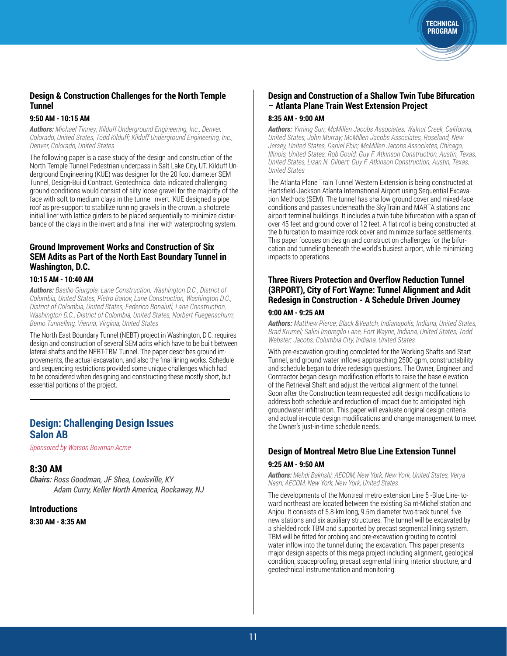### **Design & Construction Challenges for the North Temple Tunnel**

### **9:50 AM - 10:15 AM**

*Authors: Michael Tinney; Kilduff Underground Engineering, Inc., Denver, Colorado, United States, Todd Kilduff; Kilduff Underground Engineering, Inc., Denver, Colorado, United States*

The following paper is a case study of the design and construction of the North Temple Tunnel Pedestrian underpass in Salt Lake City, UT. Kilduff Underground Engineering (KUE) was designer for the 20 foot diameter SEM Tunnel, Design-Build Contract. Geotechnical data indicated challenging ground conditions would consist of silty loose gravel for the majority of the face with soft to medium clays in the tunnel invert. KUE designed a pipe roof as pre-support to stabilize running gravels in the crown, a shotcrete initial liner with lattice girders to be placed sequentially to minimize disturbance of the clays in the invert and a final liner with waterproofing system.

### **Ground Improvement Works and Construction of Six SEM Adits as Part of the North East Boundary Tunnel in Washington, D.C.**

#### **10:15 AM - 10:40 AM**

*Authors: Basilio Giurgola; Lane Construction, Washington D.C., District of Columbia, United States, Pietro Banov, Lane Construction, Washington D.C., District of Colombia, United States, Federico Bonaiuti, Lane Construction, Washington D.C., District of Colombia, United States, Norbert Fuegenschum; Bemo Tunnelling, Vienna, Virginia, United States*

The North East Boundary Tunnel (NEBT) project in Washington, D.C. requires design and construction of several SEM adits which have to be built between lateral shafts and the NEBT-TBM Tunnel. The paper describes ground improvements, the actual excavation, and also the final lining works. Schedule and sequencing restrictions provided some unique challenges which had to be considered when designing and constructing these mostly short, but essential portions of the project.

### **Design: Challenging Design Issues Salon AB**

*Sponsored by Watson Bowman Acme*

### **8:30 AM**

*Chairs: Ross Goodman, JF Shea, Louisville, KY Adam Curry, Keller North America, Rockaway, NJ*

### **Introductions**

**8:30 AM - 8:35 AM**

### **Design and Construction of a Shallow Twin Tube Bifurcation – Atlanta Plane Train West Extension Project**

TECHNICAL PROGRAM

#### **8:35 AM - 9:00 AM**

*Authors: Yiming Sun; McMillen Jacobs Associates, Walnut Creek, California, United States, John Murray; McMillen Jacobs Associates, Roseland, New Jersey, United States, Daniel Ebin; McMillen Jacobs Associates, Chicago, Illinois, United States, Rob Gould; Guy F. Atkinson Construction, Austin, Texas, United States, Lizan N. Gilbert; Guy F. Atkinson Construction, Austin, Texas, United States*

The Atlanta Plane Train Tunnel Western Extension is being constructed at Hartsfield-Jackson Atlanta International Airport using Sequential Excavation Methods (SEM). The tunnel has shallow ground cover and mixed-face conditions and passes underneath the SkyTrain and MARTA stations and airport terminal buildings. It includes a twin tube bifurcation with a span of over 45 feet and ground cover of 12 feet. A flat roof is being constructed at the bifurcation to maximize rock cover and minimize surface settlements. This paper focuses on design and construction challenges for the bifurcation and tunneling beneath the world's busiest airport, while minimizing impacts to operations.

### **Three Rivers Protection and Overflow Reduction Tunnel (3RPORT), City of Fort Wayne: Tunnel Alignment and Adit Redesign in Construction - A Schedule Driven Journey**

#### **9:00 AM - 9:25 AM**

*Authors: Matthew Pierce; Black &Veatch, Indianapolis, Indiana, United States, Brad Krumel; Salini Impregilo Lane, Fort Wayne, Indiana, United States, Todd Webster; Jacobs, Columbia City, Indiana, United States*

With pre-excavation grouting completed for the Working Shafts and Start Tunnel, and ground water inflows approaching 2500 gpm, constructability and schedule began to drive redesign questions. The Owner, Engineer and Contractor began design modification efforts to raise the base elevation of the Retrieval Shaft and adjust the vertical alignment of the tunnel. Soon after the Construction team requested adit design modifications to address both schedule and reduction of impact due to anticipated high groundwater infiltration. This paper will evaluate original design criteria and actual in-route design modifications and change management to meet the Owner's just-in-time schedule needs.

### **Design of Montreal Metro Blue Line Extension Tunnel 9:25 AM - 9:50 AM**

*Authors: Mehdi Bakhshi; AECOM, New York, New York, United States, Verya Nasri; AECOM, New York, New York, United States*

The developments of the Montreal metro extension Line 5 -Blue Line- toward northeast are located between the existing Saint-Michel station and Anjou. It consists of 5.8-km long, 9.5m diameter two-track tunnel, five new stations and six auxiliary structures. The tunnel will be excavated by a shielded rock TBM and supported by precast segmental lining system. TBM will be fitted for probing and pre-excavation grouting to control water inflow into the tunnel during the excavation. This paper presents major design aspects of this mega project including alignment, geological condition, spaceproofing, precast segmental lining, interior structure, and geotechnical instrumentation and monitoring.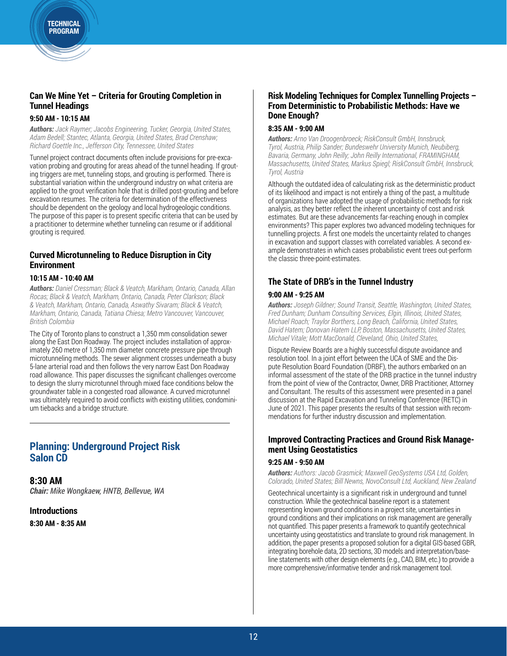### **Can We Mine Yet – Criteria for Grouting Completion in Tunnel Headings**

### **9:50 AM - 10:15 AM**

*Authors: Jack Raymer; Jacobs Engineering, Tucker, Georgia, United States, Adam Bedell; Stantec, Atlanta, Georgia, United States, Brad Crenshaw; Richard Goettle Inc., Jefferson City, Tennessee, United States*

Tunnel project contract documents often include provisions for pre-excavation probing and grouting for areas ahead of the tunnel heading. If grouting triggers are met, tunneling stops, and grouting is performed. There is substantial variation within the underground industry on what criteria are applied to the grout verification hole that is drilled post-grouting and before excavation resumes. The criteria for determination of the effectiveness should be dependent on the geology and local hydrogeologic conditions. The purpose of this paper is to present specific criteria that can be used by a practitioner to determine whether tunneling can resume or if additional grouting is required.

### **Curved Microtunneling to Reduce Disruption in City Environment**

### **10:15 AM - 10:40 AM**

*Authors: Daniel Cressman; Black & Veatch, Markham, Ontario, Canada, Allan Rocas; Black & Veatch, Markham, Ontario, Canada, Peter Clarkson; Black & Veatch, Markham, Ontario, Canada, Aswathy Sivaram; Black & Veatch, Markham, Ontario, Canada, Tatiana Chiesa; Metro Vancouver, Vancouver, British Colombia*

The City of Toronto plans to construct a 1,350 mm consolidation sewer along the East Don Roadway. The project includes installation of approximately 260 metre of 1,350 mm diameter concrete pressure pipe through microtunneling methods. The sewer alignment crosses underneath a busy 5-lane arterial road and then follows the very narrow East Don Roadway road allowance. This paper discusses the significant challenges overcome to design the slurry microtunnel through mixed face conditions below the groundwater table in a congested road allowance. A curved microtunnel was ultimately required to avoid conflicts with existing utilities, condominium tiebacks and a bridge structure.

### **Planning: Underground Project Risk Salon CD**

**8:30 AM** *Chair: Mike Wongkaew, HNTB, Bellevue, WA*

**Introductions 8:30 AM - 8:35 AM**

### **Risk Modeling Techniques for Complex Tunnelling Projects – From Deterministic to Probabilistic Methods: Have we Done Enough?**

#### **8:35 AM - 9:00 AM**

*Authors: Arno Van Droogenbroeck; RiskConsult GmbH, Innsbruck, Tyrol, Austria, Philip Sander; Bundeswehr University Munich, Neubiberg, Bavaria, Germany, John Reilly; John Reilly International, FRAMINGHAM, Massachusetts, United States, Markus Spiegl; RiskConsult GmbH, Innsbruck, Tyrol, Austria*

Although the outdated idea of calculating risk as the deterministic product of its likelihood and impact is not entirely a thing of the past, a multitude of organizations have adopted the usage of probabilistic methods for risk analysis, as they better reflect the inherent uncertainty of cost and risk estimates. But are these advancements far-reaching enough in complex environments? This paper explores two advanced modeling techniques for tunnelling projects. A first one models the uncertainty related to changes in excavation and support classes with correlated variables. A second example demonstrates in which cases probabilistic event trees out-perform the classic three-point-estimates.

### **The State of DRB's in the Tunnel Industry**

#### **9:00 AM - 9:25 AM**

*Authors: Joseph Gildner; Sound Transit, Seattle, Washington, United States, Fred Dunham; Dunham Consulting Services, Elgin, Illinois, United States, Michael Roach; Traylor Borthers, Long Beach, California, United States, David Hatem; Donovan Hatem LLP, Boston, Massachusetts, United States, Michael Vitale; Mott MacDonald, Cleveland, Ohio, United States,* 

Dispute Review Boards are a highly successful dispute avoidance and resolution tool. In a joint effort between the UCA of SME and the Dispute Resolution Board Foundation (DRBF), the authors embarked on an informal assessment of the state of the DRB practice in the tunnel industry from the point of view of the Contractor, Owner, DRB Practitioner, Attorney and Consultant. The results of this assessment were presented in a panel discussion at the Rapid Excavation and Tunneling Conference (RETC) in June of 2021. This paper presents the results of that session with recommendations for further industry discussion and implementation.

### **Improved Contracting Practices and Ground Risk Management Using Geostatistics**

#### **9:25 AM - 9:50 AM**

*Authors: Authors: Jacob Grasmick; Maxwell GeoSystems USA Ltd, Golden, Colorado, United States; Bill Newns, NovoConsult Ltd, Auckland, New Zealand*

Geotechnical uncertainty is a significant risk in underground and tunnel construction. While the geotechnical baseline report is a statement representing known ground conditions in a project site, uncertainties in ground conditions and their implications on risk management are generally not quantified. This paper presents a framework to quantify geotechnical uncertainty using geostatistics and translate to ground risk management. In addition, the paper presents a proposed solution for a digital GIS-based GBR, integrating borehole data, 2D sections, 3D models and interpretation/baseline statements with other design elements (e.g., CAD, BIM, etc.) to provide a more comprehensive/informative tender and risk management tool.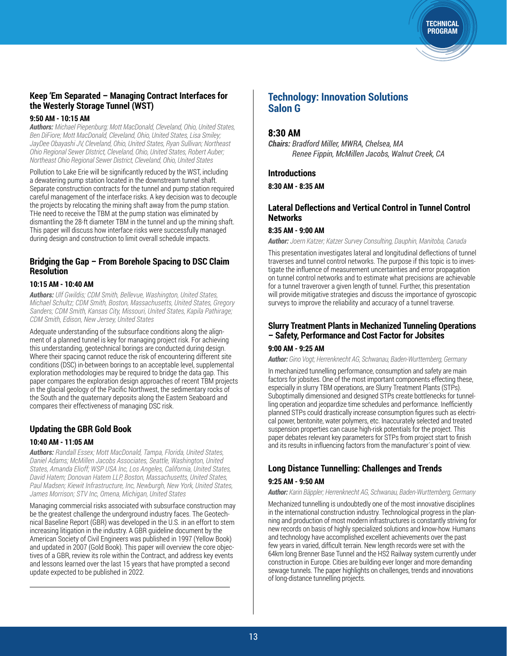### **Keep 'Em Separated – Managing Contract Interfaces for the Westerly Storage Tunnel (WST)**

#### **9:50 AM - 10:15 AM**

*Authors: Michael Piepenburg; Mott MacDonald, Cleveland, Ohio, United States, Ben DiFiore; Mott MacDonald, Cleveland, Ohio, United States, Lisa Smiley; JayDee Obayashi JV, Cleveland, Ohio, United States, Ryan Sullivan; Northeast Ohio Regional Sewer DIstrict, Cleveland, Ohio, United States, Robert Auber; Northeast Ohio Regional Sewer District, Cleveland, Ohio, United States*

Pollution to Lake Erie will be significantly reduced by the WST, including a dewatering pump station located in the downstream tunnel shaft. Separate construction contracts for the tunnel and pump station required careful management of the interface risks. A key decision was to decouple the projects by relocating the mining shaft away from the pump station. THe need to receive the TBM at the pump station was eliminated by dismantling the 28-ft diameter TBM in the tunnel and up the mining shaft. This paper will discuss how interface risks were successfully managed during design and construction to limit overall schedule impacts.

### **Bridging the Gap – From Borehole Spacing to DSC Claim Resolution**

### **10:15 AM - 10:40 AM**

*Authors: Ulf Gwildis; CDM Smith, Bellevue, Washington, United States, Michael Schultz; CDM Smith, Boston, Massachusetts, United States, Gregory Sanders; CDM Smith, Kansas City, Missouri, United States, Kapila Pathirage; CDM Smith, Edison, New Jersey, United States*

Adequate understanding of the subsurface conditions along the alignment of a planned tunnel is key for managing project risk. For achieving this understanding, geotechnical borings are conducted during design. Where their spacing cannot reduce the risk of encountering different site conditions (DSC) in-between borings to an acceptable level, supplemental exploration methodologies may be required to bridge the data gap. This paper compares the exploration design approaches of recent TBM projects in the glacial geology of the Pacific Northwest, the sedimentary rocks of the South and the quaternary deposits along the Eastern Seaboard and compares their effectiveness of managing DSC risk.

### **Updating the GBR Gold Book**

### **10:40 AM - 11:05 AM**

*Authors: Randall Essex; Mott MacDonald, Tampa, Florida, United States, Daniel Adams; McMillen Jacobs Associates, Seattle, Washington, United States, Amanda Elioff; WSP USA Inc, Los Angeles, California, United States, David Hatem; Donovan Hatem LLP, Boston, Massachusetts, United States, Paul Madsen; Kiewit Infrastructure, Inc, Newburgh, New York, United States, James Morrison; STV Inc, Omena, Michigan, United States*

Managing commercial risks associated with subsurface construction may be the greatest challenge the underground industry faces. The Geotechnical Baseline Report (GBR) was developed in the U.S. in an effort to stem increasing litigation in the industry. A GBR guideline document by the American Society of Civil Engineers was published in 1997 (Yellow Book) and updated in 2007 (Gold Book). This paper will overview the core objectives of a GBR, review its role within the Contract, and address key events and lessons learned over the last 15 years that have prompted a second update expected to be published in 2022.

### **Technology: Innovation Solutions Salon G**

### **8:30 AM**

*Chairs: Bradford Miller, MWRA, Chelsea, MA Renee Fippin, McMillen Jacobs, Walnut Creek, CA*

### **Introductions**

**8:30 AM - 8:35 AM**

### **Lateral Deflections and Vertical Control in Tunnel Control Networks**

**TECHNICAL** PROGRAM

#### **8:35 AM - 9:00 AM**

*Author: Joern Katzer; Katzer Survey Consulting, Dauphin, Manitoba, Canada*

This presentation investigates lateral and longitudinal deflections of tunnel traverses and tunnel control networks. The purpose if this topic is to investigate the influence of measurement uncertainties and error propagation on tunnel control networks and to estimate what precisions are achievable for a tunnel traverover a given length of tunnel. Further, this presentation will provide mitigative strategies and discuss the importance of gyroscopic surveys to improve the reliability and accuracy of a tunnel traverse.

#### **Slurry Treatment Plants in Mechanized Tunneling Operations – Safety, Performance and Cost Factor for Jobsites**

#### **9:00 AM - 9:25 AM**

*Author: Gino Vogt; Herrenknecht AG, Schwanau, Baden-Wurttemberg, Germany*

In mechanized tunnelling performance, consumption and safety are main factors for jobsites. One of the most important components effecting these, especially in slurry TBM operations, are Slurry Treatment Plants (STPs). Suboptimally dimensioned and designed STPs create bottlenecks for tunnelling operation and jeopardize time schedules and performance. Inefficiently planned STPs could drastically increase consumption figures such as electrical power, bentonite, water polymers, etc. Inaccurately selected and treated suspension properties can cause high-risk potentials for the project. This paper debates relevant key parameters for STPs from project start to finish and its results in influencing factors from the manufacturer´s point of view.

### **Long Distance Tunnelling: Challenges and Trends**

#### **9:25 AM - 9:50 AM**

*Author: Karin Bäppler; Herrenknecht AG, Schwanau, Baden-Wurttemberg, Germany*

Mechanized tunnelling is undoubtedly one of the most innovative disciplines in the international construction industry. Technological progress in the planning and production of most modern infrastructures is constantly striving for new records on basis of highly specialized solutions and know-how. Humans and technology have accomplished excellent achievements over the past few years in varied, difficult terrain. New length records were set with the 64km long Brenner Base Tunnel and the HS2 Railway system currently under construction in Europe. Cities are building ever longer and more demanding sewage tunnels. The paper highlights on challenges, trends and innovations of long-distance tunnelling projects.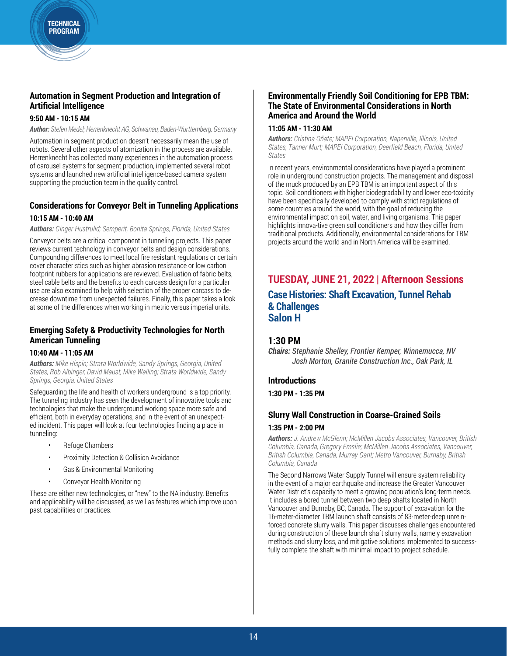### **Automation in Segment Production and Integration of Artificial Intelligence**

#### **9:50 AM - 10:15 AM**

*Author: Stefen Medel; Herrenknecht AG, Schwanau, Baden-Wurttemberg, Germany*

Automation in segment production doesn't necessarily mean the use of robots. Several other aspects of atomization in the process are available. Herrenknecht has collected many experiences in the automation process of carousel systems for segment production, implemented several robot systems and launched new artificial intelligence-based camera system supporting the production team in the quality control.

# **Considerations for Conveyor Belt in Tunneling Applications**

### **10:15 AM - 10:40 AM**

*Authors: Ginger Hustrulid; Semperit, Bonita Springs, Florida, United States*

Conveyor belts are a critical component in tunneling projects. This paper reviews current technology in conveyor belts and design considerations. Compounding differences to meet local fire resistant regulations or certain cover characteristics such as higher abrasion resistance or low carbon footprint rubbers for applications are reviewed. Evaluation of fabric belts, steel cable belts and the benefits to each carcass design for a particular use are also examined to help with selection of the proper carcass to decrease downtime from unexpected failures. Finally, this paper takes a look at some of the differences when working in metric versus imperial units.

### **Emerging Safety & Productivity Technologies for North American Tunneling**

#### **10:40 AM - 11:05 AM**

*Authors: Mike Rispin; Strata Worldwide, Sandy Springs, Georgia, United States, Rob Albinger, David Maust, Mike Walling; Strata Worldwide, Sandy Springs, Georgia, United States*

Safeguarding the life and health of workers underground is a top priority. The tunneling industry has seen the development of innovative tools and technologies that make the underground working space more safe and efficient, both in everyday operations, and in the event of an unexpected incident. This paper will look at four technologies finding a place in tunneling:

- Refuge Chambers
- Proximity Detection & Collision Avoidance
- Gas & Environmental Monitoring
- Conveyor Health Monitoring

These are either new technologies, or "new" to the NA industry. Benefits and applicability will be discussed, as well as features which improve upon past capabilities or practices.

### **Environmentally Friendly Soil Conditioning for EPB TBM: The State of Environmental Considerations in North America and Around the World**

#### **11:05 AM - 11:30 AM**

*Authors: Cristina Oñate; MAPEI Corporation, Naperville, Illinois, United States, Tanner Murt; MAPEI Corporation, Deerfield Beach, Florida, United States*

In recent years, environmental considerations have played a prominent role in underground construction projects. The management and disposal of the muck produced by an EPB TBM is an important aspect of this topic. Soil conditioners with higher biodegradability and lower eco-toxicity have been specifically developed to comply with strict regulations of some countries around the world, with the goal of reducing the environmental impact on soil, water, and living organisms. This paper highlights innova-tive green soil conditioners and how they differ from traditional products. Additionally, environmental considerations for TBM projects around the world and in North America will be examined.

### **TUESDAY, JUNE 21, 2022 | Afternoon Sessions Case Histories: Shaft Excavation, Tunnel Rehab & Challenges Salon H**

### **1:30 PM**

*Chairs: Stephanie Shelley, Frontier Kemper, Winnemucca, NV Josh Morton, Granite Construction Inc., Oak Park, IL*

### **Introductions**

**1:30 PM - 1:35 PM**

### **Slurry Wall Construction in Coarse-Grained Soils 1:35 PM - 2:00 PM**

*Authors: J. Andrew McGlenn; McMillen Jacobs Associates, Vancouver, British Columbia, Canada, Gregory Emslie; McMillen Jacobs Associates, Vancouver, British Columbia, Canada, Murray Gant; Metro Vancouver, Burnaby, British Columbia, Canada*

The Second Narrows Water Supply Tunnel will ensure system reliability in the event of a major earthquake and increase the Greater Vancouver Water District's capacity to meet a growing population's long-term needs. It includes a bored tunnel between two deep shafts located in North Vancouver and Burnaby, BC, Canada. The support of excavation for the 16-meter-diameter TBM launch shaft consists of 83-meter-deep unreinforced concrete slurry walls. This paper discusses challenges encountered during construction of these launch shaft slurry walls, namely excavation methods and slurry loss, and mitigative solutions implemented to successfully complete the shaft with minimal impact to project schedule.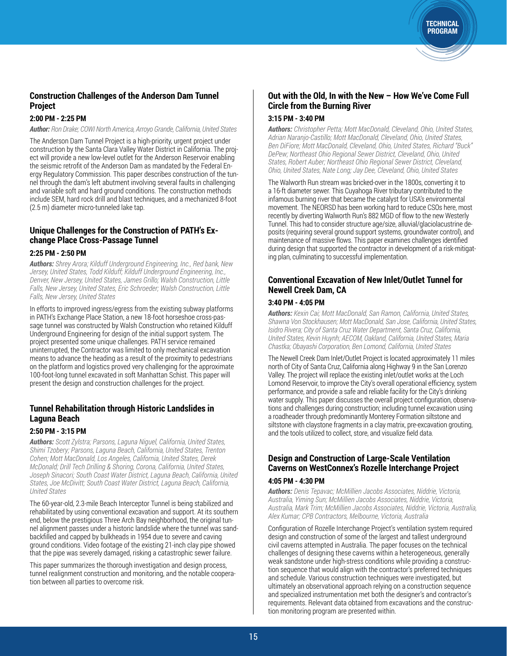### **Construction Challenges of the Anderson Dam Tunnel Project**

### **2:00 PM - 2:25 PM**

*Author: Ron Drake; COWI North America, Arroyo Grande, California, United States*

The Anderson Dam Tunnel Project is a high-priority, urgent project under construction by the Santa Clara Valley Water District in California. The project will provide a new low-level outlet for the Anderson Reservoir enabling the seismic retrofit of the Anderson Dam as mandated by the Federal Energy Regulatory Commission. This paper describes construction of the tunnel through the dam's left abutment involving several faults in challenging and variable soft and hard ground conditions. The construction methods include SEM, hard rock drill and blast techniques, and a mechanized 8-foot (2.5 m) diameter micro-tunneled lake tap.

### **Unique Challenges for the Construction of PATH's Exchange Place Cross-Passage Tunnel**

#### **2:25 PM - 2:50 PM**

*Authors: Shrey Arora; Kilduff Underground Engineering, Inc., Red bank, New Jersey, United States, Todd Kilduff; Kilduff Underground Engineering, Inc., Denver, New Jersey, United States, James Grillo; Walsh Construction, Little Falls, New Jersey, United States, Eric Schroeder; Walsh Construction, Little Falls, New Jersey, United States*

In efforts to improved ingress/egress from the existing subway platforms in PATH's Exchange Place Station, a new 18-foot horseshoe cross-passage tunnel was constructed by Walsh Construction who retained Kilduff Underground Engineering for design of the initial support system. The project presented some unique challenges. PATH service remained uninterrupted, the Contractor was limited to only mechanical excavation means to advance the heading as a result of the proximity to pedestrians on the platform and logistics proved very challenging for the approximate 100-foot-long tunnel excavated in soft Manhattan Schist. This paper will present the design and construction challenges for the project.

### **Tunnel Rehabilitation through Historic Landslides in Laguna Beach**

#### **2:50 PM - 3:15 PM**

*Authors: Scott Zylstra; Parsons, Laguna Niguel, California, United States, Shimi Tzobery; Parsons, Laguna Beach, California, United States, Trenton Cohen; Mott MacDonald, Los Angeles, California, United States, Derek McDonald; Drill Tech Drilling & Shoring, Corona, California, United States, Joseph Sinacori; South Coast Water District, Laguna Beach, California, United States, Joe McDivitt; South Coast Water District, Laguna Beach, California, United States*

The 60-year-old, 2.3-mile Beach Interceptor Tunnel is being stabilized and rehabilitated by using conventional excavation and support. At its southern end, below the prestigious Three Arch Bay neighborhood, the original tunnel alignment passes under a historic landslide where the tunnel was sandbackfilled and capped by bulkheads in 1954 due to severe and caving ground conditions. Video footage of the existing 21-inch clay pipe showed that the pipe was severely damaged, risking a catastrophic sewer failure.

This paper summarizes the thorough investigation and design process, tunnel realignment construction and monitoring, and the notable cooperation between all parties to overcome risk.

### **Out with the Old, In with the New – How We've Come Full Circle from the Burning River**

**TECHNICAL** PROGRAM

#### **3:15 PM - 3:40 PM**

*Authors: Christopher Petta; Mott MacDonald, Cleveland, Ohio, United States, Adrian Naranjo-Castillo; Mott MacDonald, Cleveland, Ohio, United States, Ben DiFiore; Mott MacDonald, Cleveland, Ohio, United States, Richard "Buck" DePew; Northeast Ohio Regional Sewer District, Cleveland, Ohio, United States, Robert Auber; Northeast Ohio Regional Sewer District, Cleveland, Ohio, United States, Nate Long; Jay Dee, Cleveland, Ohio, United States*

The Walworth Run stream was bricked-over in the 1800s, converting it to a 16-ft diameter sewer. This Cuyahoga River tributary contributed to the infamous burning river that became the catalyst for USA's environmental movement. The NEORSD has been working hard to reduce CSOs here, most recently by diverting Walworth Run's 882 MGD of flow to the new Westerly Tunnel. This had to consider structure age/size, alluvial/glaciolacustrine deposits (requiring several ground support systems, groundwater control), and maintenance of massive flows. This paper examines challenges identified during design that supported the contractor in development of a risk-mitigating plan, culminating to successful implementation.

### **Conventional Excavation of New Inlet/Outlet Tunnel for Newell Creek Dam, CA**

#### **3:40 PM - 4:05 PM**

*Authors: Kexin Cai; Mott MacDonald, San Ramon, California, United States, Shawna Von Stockhausen; Mott MacDonald, San Jose, California, United States, Isidro Rivera; City of Santa Cruz Water Department, Santa Cruz, California, United States, Kevin Huynh; AECOM, Oakland, California, United States, Maria Chastka; Obayashi Corporation, Ben Lomond, California, United States*

The Newell Creek Dam Inlet/Outlet Project is located approximately 11 miles north of City of Santa Cruz, California along Highway 9 in the San Lorenzo Valley. The project will replace the existing inlet/outlet works at the Loch Lomond Reservoir, to improve the City's overall operational efficiency, system performance, and provide a safe and reliable facility for the City's drinking water supply. This paper discusses the overall project configuration, observations and challenges during construction; including tunnel excavation using a roadheader through predominantly Monterey Formation siltstone and siltstone with claystone fragments in a clay matrix, pre-excavation grouting, and the tools utilized to collect, store, and visualize field data.

### **Design and Construction of Large-Scale Ventilation Caverns on WestConnex's Rozelle Interchange Project**

#### **4:05 PM - 4:30 PM**

*Authors: Denis Tepavac; McMillien Jacobs Associates, Niddrie, Victoria, Australia, Yiming Sun; McMillien Jacobs Associates, Niddrie, Victoria, Australia, Mark Trim; McMillien Jacobs Associates, Niddrie, Victoria, Australia, Alex Kumar; CPB Contractors, Melbourne, Victoria, Australia*

Configuration of Rozelle Interchange Project's ventilation system required design and construction of some of the largest and tallest underground civil caverns attempted in Australia. The paper focuses on the technical challenges of designing these caverns within a heterogeneous, generally weak sandstone under high-stress conditions while providing a construction sequence that would align with the contractor's preferred techniques and schedule. Various construction techniques were investigated, but ultimately an observational approach relying on a construction sequence and specialized instrumentation met both the designer's and contractor's requirements. Relevant data obtained from excavations and the construction monitoring program are presented within.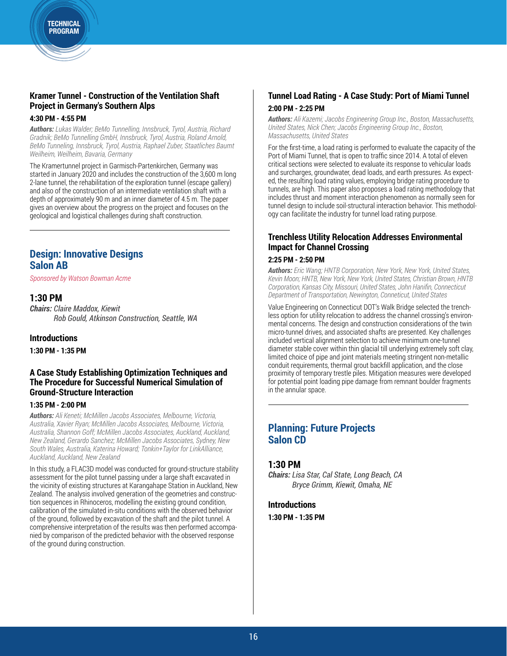### **Kramer Tunnel - Construction of the Ventilation Shaft Project in Germany's Southern Alps**

#### **4:30 PM - 4:55 PM**

*Authors: Lukas Walder; BeMo Tunnelling, Innsbruck, Tyrol, Austria, Richard Gradnik; BeMo Tunnelling GmbH, Innsbruck, Tyrol, Austria, Roland Arnold, BeMo Tunneling, Innsbruck, Tyrol, Austria, Raphael Zuber, Staatliches Baumt Weilheim, Weilheim, Bavaria, Germany*

The Kramertunnel project in Garmisch-Partenkirchen, Germany was started in January 2020 and includes the construction of the 3,600 m long 2-lane tunnel, the rehabilitation of the exploration tunnel (escape gallery) and also of the construction of an intermediate ventilation shaft with a depth of approximately 90 m and an inner diameter of 4.5 m. The paper gives an overview about the progress on the project and focuses on the geological and logistical challenges during shaft construction.

### **Design: Innovative Designs Salon AB**

*Sponsored by Watson Bowman Acme*

### **1:30 PM**

*Chairs: Claire Maddox, Kiewit Rob Gould, Atkinson Construction, Seattle, WA*

### **Introductions**

**1:30 PM - 1:35 PM**

### **A Case Study Establishing Optimization Techniques and The Procedure for Successful Numerical Simulation of Ground-Structure Interaction**

### **1:35 PM - 2:00 PM**

*Authors: Ali Keneti; McMillen Jacobs Associates, Melbourne, Victoria, Australia, Xavier Ryan; McMillen Jacobs Associates, Melbourne, Victoria, Australia, Shannon Goff; McMillen Jacobs Associates, Auckland, Auckland, New Zealand, Gerardo Sanchez; McMillen Jacobs Associates, Sydney, New South Wales, Australia, Katerina Howard; Tonkin+Taylor for LinkAlliance, Auckland, Auckland, New Zealand*

In this study, a FLAC3D model was conducted for ground-structure stability assessment for the pilot tunnel passing under a large shaft excavated in the vicinity of existing structures at Karangahape Station in Auckland, New Zealand. The analysis involved generation of the geometries and construction sequences in Rhinoceros, modelling the existing ground condition, calibration of the simulated in-situ conditions with the observed behavior of the ground, followed by excavation of the shaft and the pilot tunnel. A comprehensive interpretation of the results was then performed accompanied by comparison of the predicted behavior with the observed response of the ground during construction.

### **Tunnel Load Rating - A Case Study: Port of Miami Tunnel 2:00 PM - 2:25 PM**

*Authors: Ali Kazemi; Jacobs Engineering Group Inc., Boston, Massachusetts, United States, Nick Chen; Jacobs Engineering Group Inc., Boston, Massachusetts, United States*

For the first-time, a load rating is performed to evaluate the capacity of the Port of Miami Tunnel, that is open to traffic since 2014. A total of eleven critical sections were selected to evaluate its response to vehicular loads and surcharges, groundwater, dead loads, and earth pressures. As expected, the resulting load rating values, employing bridge rating procedure to tunnels, are high. This paper also proposes a load rating methodology that includes thrust and moment interaction phenomenon as normally seen for tunnel design to include soil-structural interaction behavior. This methodology can facilitate the industry for tunnel load rating purpose.

### **Trenchless Utility Relocation Addresses Environmental Impact for Channel Crossing**

### **2:25 PM - 2:50 PM**

*Authors: Eric Wang; HNTB Corporation, New York, New York, United States, Kevin Moon; HNTB, New York, New York, United States, Christian Brown, HNTB Corporation, Kansas City, Missouri, United States, John Hanifin, Connecticut Department of Transportation, Newington, Conneticut, United States*

Value Engineering on Connecticut DOT's Walk Bridge selected the trenchless option for utility relocation to address the channel crossing's environmental concerns. The design and construction considerations of the twin micro-tunnel drives, and associated shafts are presented. Key challenges included vertical alignment selection to achieve minimum one-tunnel diameter stable cover within thin glacial till underlying extremely soft clay, limited choice of pipe and joint materials meeting stringent non-metallic conduit requirements, thermal grout backfill application, and the close proximity of temporary trestle piles. Mitigation measures were developed for potential point loading pipe damage from remnant boulder fragments in the annular space.

### **Planning: Future Projects Salon CD**

### **1:30 PM**

*Chairs: Lisa Star, Cal State, Long Beach, CA Bryce Grimm, Kiewit, Omaha, NE*

**Introductions 1:30 PM - 1:35 PM**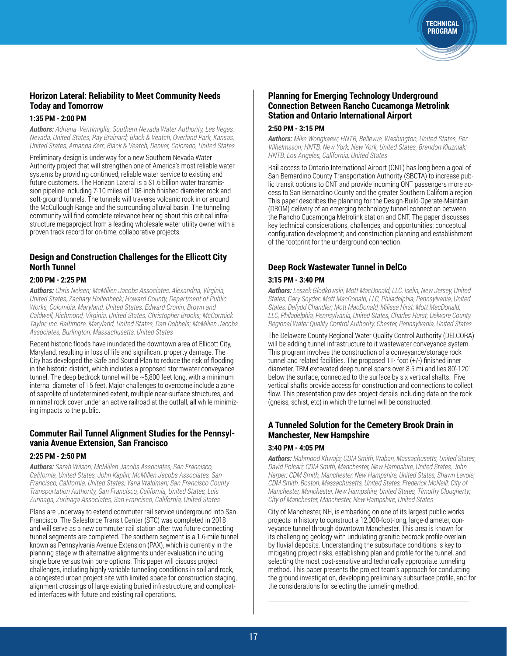### **Horizon Lateral: Reliability to Meet Community Needs Today and Tomorrow**

### **1:35 PM - 2:00 PM**

*Authors: Adriana Ventimiglia; Southern Nevada Water Authority, Las Vegas, Nevada, United States, Ray Brainard; Black & Veatch, Overland Park, Kansas, United States, Amanda Kerr; Black & Veatch, Denver, Colorado, United States*

Preliminary design is underway for a new Southern Nevada Water Authority project that will strengthen one of America's most reliable water systems by providing continued, reliable water service to existing and future customers. The Horizon Lateral is a \$1.6 billion water transmission pipeline including 7-10 miles of 108-inch finished diameter rock and soft-ground tunnels. The tunnels will traverse volcanic rock in or around the McCullough Range and the surrounding alluvial basin. The tunneling community will find complete relevance hearing about this critical infrastructure megaproject from a leading wholesale water utility owner with a proven track record for on-time, collaborative projects.

### **Design and Construction Challenges for the Ellicott City North Tunnel**

### **2:00 PM - 2:25 PM**

*Authors: Chris Nelsen; McMillen Jacobs Associates, Alexandria, Virginia, United States, Zachary Hollenbeck; Howard County, Department of Public Works, Colombia, Maryland, United States, Edward Cronin; Brown and Caldwell, Richmond, Virginia, United States, Christopher Brooks; McCormick Taylor, Inc, Baltimore, Maryland, United States, Dan Dobbels; McMillen Jacobs Associates, Burlington, Massachusetts, United States*

Recent historic floods have inundated the downtown area of Ellicott City, Maryland, resulting in loss of life and significant property damage. The City has developed the Safe and Sound Plan to reduce the risk of flooding in the historic district, which includes a proposed stormwater conveyance tunnel. The deep bedrock tunnel will be  $\sim$  5,800 feet long, with a minimum internal diameter of 15 feet. Major challenges to overcome include a zone of saprolite of undetermined extent, multiple near-surface structures, and minimal rock cover under an active railroad at the outfall, all while minimizing impacts to the public.

### **Commuter Rail Tunnel Alignment Studies for the Pennsylvania Avenue Extension, San Francisco**

#### **2:25 PM - 2:50 PM**

*Authors: Sarah Wilson; McMillen Jacobs Associates, San Francisco, California, United States, John Kaplin; McMillen Jacobs Associates, San Francisco, California, United States, Yana Waldman; San Francisco County Transportation Authority, San Francisco, California, United States, Luis Zurinaga, Zurinaga Associates, San Francisco, California, United States*

Plans are underway to extend commuter rail service underground into San Francisco. The Salesforce Transit Center (STC) was completed in 2018 and will serve as a new commuter rail station after two future connecting tunnel segments are completed. The southern segment is a 1.6-mile tunnel known as Pennsylvania Avenue Extension (PAX), which is currently in the planning stage with alternative alignments under evaluation including single bore versus twin bore options. This paper will discuss project challenges, including highly variable tunneling conditions in soil and rock, a congested urban project site with limited space for construction staging, alignment crossings of large existing buried infrastructure, and complicated interfaces with future and existing rail operations.

### **Planning for Emerging Technology Underground Connection Between Rancho Cucamonga Metrolink Station and Ontario International Airport**

#### **2:50 PM - 3:15 PM**

*Authors: Mike Wongkaew; HNTB, Bellevue, Washington, United States, Per Vilhelmsson; HNTB, New York, New York, United States, Brandon Kluzniak; HNTB, Los Angeles, California, United States*

**TECHNICAL** PROGRAM

Rail access to Ontario International Airport (ONT) has long been a goal of San Bernardino County Transportation Authority (SBCTA) to increase public transit options to ONT and provide incoming ONT passengers more access to San Bernardino County and the greater Southern California region. This paper describes the planning for the Design-Build-Operate-Maintain (DBOM) delivery of an emerging technology tunnel connection between the Rancho Cucamonga Metrolink station and ONT. The paper discusses key technical considerations, challenges, and opportunities; conceptual configuration development; and construction planning and establishment of the footprint for the underground connection.

### **Deep Rock Wastewater Tunnel in DelCo**

### **3:15 PM - 3:40 PM**

*Authors: Leszek Glodkowski; Mott MacDonald, LLC, Iselin, New Jersey, United States, Gary Snyder; Mott MacDonald, LLC, Philadelphia, Pennsylvania, United States, Dafydd Chandler; Mott MacDonald, Milissa Hirst; Mott MacDonald, LLC, Philadelphia, Pennsylvania, United States, Charles Hurst; Delware County Regional Water Quality Control Authority, Chester, Pennsylvania, United States*

The Delaware County Regional Water Quality Control Authority (DELCORA) will be adding tunnel infrastructure to it wastewater conveyance system. This program involves the construction of a conveyance/storage rock tunnel and related facilities. The proposed 11- foot (+/-) finished inner diameter, TBM excavated deep tunnel spans over 8.5 mi and lies 80'-120' below the surface, connected to the surface by six vertical shafts. Five vertical shafts provide access for construction and connections to collect flow. This presentation provides project details including data on the rock (gneiss, schist, etc) in which the tunnel will be constructed.

### **A Tunneled Solution for the Cemetery Brook Drain in Manchester, New Hampshire**

#### **3:40 PM - 4:05 PM**

*Authors: Mahmood Khwaja; CDM Smith, Waban, Massachusetts, United States, David Polcari; CDM Smith, Manchester, New Hampshire, United States, John Harper; CDM Smith, Manchester, New Hampshire, United States, Shawn Lavoie; CDM Smith, Boston, Massachusetts, United States, Frederick McNeill; City of Manchester, Manchester, New Hampshire, United States, Timothy Clougherty; City of Manchester, Manchester, New Hampshire, United States*

City of Manchester, NH, is embarking on one of its largest public works projects in history to construct a 12,000-foot-long, large-diameter, conveyance tunnel through downtown Manchester. This area is known for its challenging geology with undulating granitic bedrock profile overlain by fluvial deposits. Understanding the subsurface conditions is key to mitigating project risks, establishing plan and profile for the tunnel, and selecting the most cost-sensitive and technically appropriate tunneling method. This paper presents the project team's approach for conducting the ground investigation, developing preliminary subsurface profile, and for the considerations for selecting the tunneling method.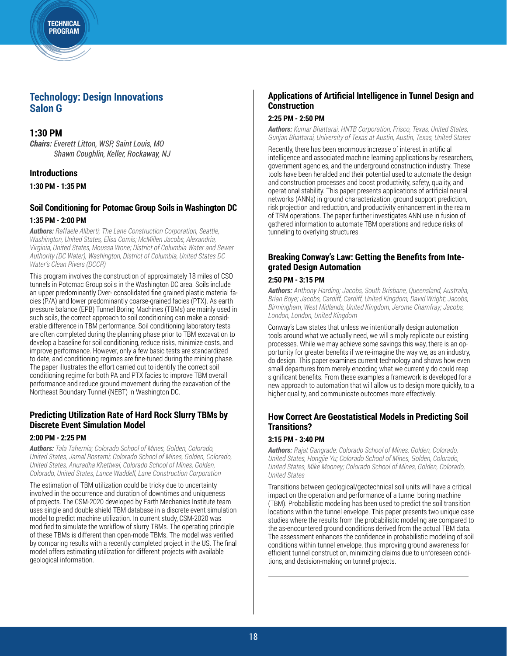**TECHNICAL** PROGRAM

### **Technology: Design Innovations Salon G**

### **1:30 PM**

*Chairs: Everett Litton, WSP, Saint Louis, MO Shawn Coughlin, Keller, Rockaway, NJ*

### **Introductions**

**1:30 PM - 1:35 PM**

### **Soil Conditioning for Potomac Group Soils in Washington DC 1:35 PM - 2:00 PM**

*Authors: Raffaele Aliberti; The Lane Construction Corporation, Seattle, Washington, United States, Elisa Comis; McMillen Jacobs, Alexandria, Virginia, United States, Moussa Wone; District of Columbia Water and Sewer Authority (DC Water), Washington, District of Columbia, United States DC Water's Clean Rivers (DCCR)*

This program involves the construction of approximately 18 miles of CSO tunnels in Potomac Group soils in the Washington DC area. Soils include an upper predominantly Over- consolidated fine grained plastic material facies (P/A) and lower predominantly coarse-grained facies (PTX). As earth pressure balance (EPB) Tunnel Boring Machines (TBMs) are mainly used in such soils, the correct approach to soil conditioning can make a considerable difference in TBM performance. Soil conditioning laboratory tests are often completed during the planning phase prior to TBM excavation to develop a baseline for soil conditioning, reduce risks, minimize costs, and improve performance. However, only a few basic tests are standardized to date, and conditioning regimes are fine-tuned during the mining phase. The paper illustrates the effort carried out to identify the correct soil conditioning regime for both PA and PTX facies to improve TBM overall performance and reduce ground movement during the excavation of the Northeast Boundary Tunnel (NEBT) in Washington DC.

### **Predicting Utilization Rate of Hard Rock Slurry TBMs by Discrete Event Simulation Model**

#### **2:00 PM - 2:25 PM**

*Authors: Tala Tahernia; Colorado School of Mines, Golden, Colorado, United States, Jamal Rostami; Colorado School of Mines, Golden, Colorado, United States, Anuradha Khettwal, Colorado School of Mines, Golden, Colorado, United States, Lance Waddell, Lane Construction Corporation*

The estimation of TBM utilization could be tricky due to uncertainty involved in the occurrence and duration of downtimes and uniqueness of projects. The CSM-2020 developed by Earth Mechanics Institute team uses single and double shield TBM database in a discrete event simulation model to predict machine utilization. In current study, CSM-2020 was modified to simulate the workflow of slurry TBMs. The operating principle of these TBMs is different than open-mode TBMs. The model was verified by comparing results with a recently completed project in the US. The final model offers estimating utilization for different projects with available geological information.

### **Applications of Artificial Intelligence in Tunnel Design and Construction**

### **2:25 PM - 2:50 PM**

*Authors: Kumar Bhattarai; HNTB Corporation, Frisco, Texas, United States, Gunjan Bhattarai, University of Texas at Austin, Austin, Texas, United States*

Recently, there has been enormous increase of interest in artificial intelligence and associated machine learning applications by researchers, government agencies, and the underground construction industry. These tools have been heralded and their potential used to automate the design and construction processes and boost productivity, safety, quality, and operational stability. This paper presents applications of artificial neural networks (ANNs) in ground characterization, ground support prediction, risk projection and reduction, and productivity enhancement in the realm of TBM operations. The paper further investigates ANN use in fusion of gathered information to automate TBM operations and reduce risks of tunneling to overlying structures.

### **Breaking Conway's Law: Getting the Benefits from Integrated Design Automation**

#### **2:50 PM - 3:15 PM**

*Authors: Anthony Harding; Jacobs, South Brisbane, Queensland, Australia, Brian Boye; Jacobs, Cardiff, Cardiff, United Kingdom, David Wright; Jacobs, Birmingham, West Midlands, United Kingdom, Jerome Chamfray; Jacobs, London, London, United Kingdom*

Conway's Law states that unless we intentionally design automation tools around what we actually need, we will simply replicate our existing processes. While we may achieve some savings this way, there is an opportunity for greater benefits if we re-imagine the way we, as an industry, do design. This paper examines current technology and shows how even small departures from merely encoding what we currently do could reap significant benefits. From these examples a framework is developed for a new approach to automation that will allow us to design more quickly, to a higher quality, and communicate outcomes more effectively.

### **How Correct Are Geostatistical Models in Predicting Soil Transitions?**

#### **3:15 PM - 3:40 PM**

*Authors: Rajat Gangrade; Colorado School of Mines, Golden, Colorado, United States, Hongjie Yu; Colorado School of Mines, Golden, Colorado, United States, Mike Mooney; Colorado School of Mines, Golden, Colorado, United States*

Transitions between geological/geotechnical soil units will have a critical impact on the operation and performance of a tunnel boring machine (TBM). Probabilistic modeling has been used to predict the soil transition locations within the tunnel envelope. This paper presents two unique case studies where the results from the probabilistic modeling are compared to the as-encountered ground conditions derived from the actual TBM data. The assessment enhances the confidence in probabilistic modeling of soil conditions within tunnel envelope, thus improving ground awareness for efficient tunnel construction, minimizing claims due to unforeseen conditions, and decision-making on tunnel projects.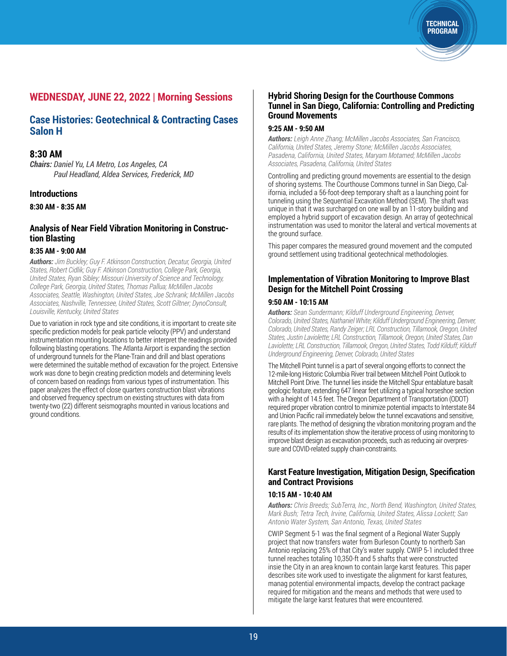### **WEDNESDAY, JUNE 22, 2022 | Morning Sessions**

### **Case Histories: Geotechnical & Contracting Cases Salon H**

### **8:30 AM**

*Chairs: Daniel Yu, LA Metro, Los Angeles, CA Paul Headland, Aldea Services, Frederick, MD*

#### **Introductions**

**8:30 AM - 8:35 AM**

### **Analysis of Near Field Vibration Monitoring in Construction Blasting**

#### **8:35 AM - 9:00 AM**

*Authors: Jim Buckley; Guy F. Atkinson Construction, Decatur, Georgia, United States, Robert Cidlik; Guy F. Atkinson Construction, College Park, Georgia, United States, Ryan Sibley; Missouri University of Science and Technology, College Park, Georgia, United States, Thomas Pallua; McMillen Jacobs Associates, Seattle, Washington, United States, Joe Schrank; McMillen Jacobs Associates, Nashville, Tennessee, United States, Scott Giltner; DynoConsult, Louisville, Kentucky, United States*

Due to variation in rock type and site conditions, it is important to create site specific prediction models for peak particle velocity (PPV) and understand instrumentation mounting locations to better interpret the readings provided following blasting operations. The Atlanta Airport is expanding the section of underground tunnels for the Plane-Train and drill and blast operations were determined the suitable method of excavation for the project. Extensive work was done to begin creating prediction models and determining levels of concern based on readings from various types of instrumentation. This paper analyzes the effect of close quarters construction blast vibrations and observed frequency spectrum on existing structures with data from twenty-two (22) different seismographs mounted in various locations and ground conditions.

### **Hybrid Shoring Design for the Courthouse Commons Tunnel in San Diego, California: Controlling and Predicting Ground Movements**

**TECHNICAL** PROGRAM

#### **9:25 AM - 9:50 AM**

*Authors: Leigh Anne Zhang; McMillen Jacobs Associates, San Francisco, California, United States, Jeremy Stone; McMillen Jacobs Associates, Pasadena, California, United States, Maryam Motamed; McMillen Jacobs Associates, Pasadena, California, United States*

Controlling and predicting ground movements are essential to the design of shoring systems. The Courthouse Commons tunnel in San Diego, California, included a 56-foot-deep temporary shaft as a launching point for tunneling using the Sequential Excavation Method (SEM). The shaft was unique in that it was surcharged on one wall by an 11-story building and employed a hybrid support of excavation design. An array of geotechnical instrumentation was used to monitor the lateral and vertical movements at the ground surface.

This paper compares the measured ground movement and the computed ground settlement using traditional geotechnical methodologies.

### **Implementation of Vibration Monitoring to Improve Blast Design for the Mitchell Point Crossing**

#### **9:50 AM - 10:15 AM**

*Authors: Sean Sundermann; Kilduff Underground Engineering, Denver, Colorado, United States, Nathaniel White; Kilduff Underground Engineering, Denver, Colorado, United States, Randy Zeiger; LRL Construction, Tillamook, Oregon, United States, Justin Laviolette; LRL Construction, Tillamook, Oregon, United States, Dan*  Laviolette; LRL Construction, Tillamook, Oregon, United States, Todd Kilduff; Kilduff *Underground Engineering, Denver, Colorado, United States*

The Mitchell Point tunnel is a part of several ongoing efforts to connect the 12-mile-long Historic Columbia River trail between Mitchell Point Outlook to Mitchell Point Drive. The tunnel lies inside the Mitchell Spur entablature basalt geologic feature, extending 647 linear feet utilizing a typical horseshoe section with a height of 14.5 feet. The Oregon Department of Transportation (ODOT) required proper vibration control to minimize potential impacts to Interstate 84 and Union Pacific rail immediately below the tunnel excavations and sensitive, rare plants. The method of designing the vibration monitoring program and the results of its implementation show the iterative process of using monitoring to improve blast design as excavation proceeds, such as reducing air overpressure and COVID-related supply chain-constraints.

### **Karst Feature Investigation, Mitigation Design, Specification and Contract Provisions**

#### **10:15 AM - 10:40 AM**

*Authors: Chris Breeds; SubTerra, Inc., North Bend, Washington, United States, Mark Bush; Tetra Tech, Irvine, California, United States, Alissa Lockett; San Antonio Water System, San Antonio, Texas, United States*

CWIP Segment 5-1 was the final segment of a Regional Water Supply project that now transfers water from Burleson County to northerb San Antonio replacing 25% of that City's water supply. CWIP 5-1 included three tunnel reaches totaling 10,350-ft and 5 shafts that were constructed insie the City in an area known to contain large karst features. This paper describes site work used to investigate the alignment for karst features, manag potential environmental impacts, develop the contract package required for mitigation and the means and methods that were used to mitigate the large karst features that were encountered.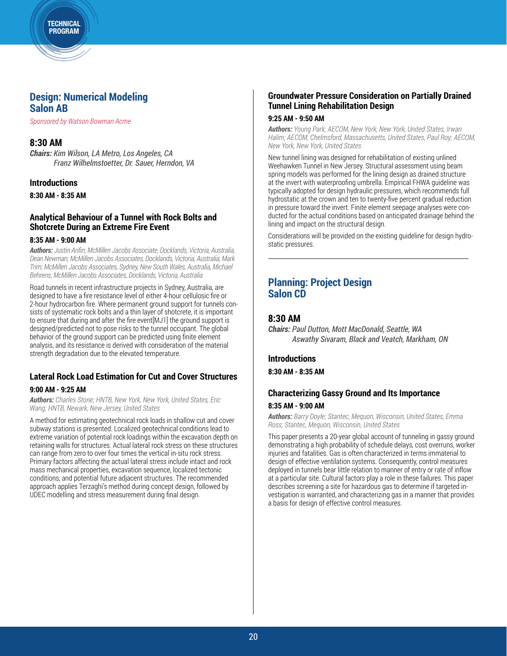### **Design: Numerical Modeling Salon AB**

*Sponsored by Watson Bowman Acme*

TECHNICAL PROGRAM

### **8:30 AM**

*Chairs: Kim Wilson, LA Metro, Los Angeles, CA Franz Wilhelmstoetter, Dr. Sauer, Herndon, VA*

#### **Introductions**

**8:30 AM - 8:35 AM**

#### **Analytical Behaviour of a Tunnel with Rock Bolts and Shotcrete During an Extreme Fire Event**

#### **8:35 AM - 9:00 AM**

*Authors: Justin Arifin; McMillen Jacobs Associate, Docklands, Victoria, Australia, Dean Newman; McMillen Jacobs Associates, Docklands, Victoria, Australia, Mark Trim; McMillen Jacobs Associates, Sydney, New South Wales, Australia, Michael Behrens; McMillen Jacobs Associates, Docklands, Victoria, Australia* 

Road tunnels in recent infrastructure projects in Sydney, Australia, are designed to have a fire resistance level of either 4-hour cellulosic fire or 2-hour hydrocarbon fire. Where permanent ground support for tunnels consists of systematic rock bolts and a thin layer of shotcrete, it is important to ensure that during and after the fire event[MJ1] the ground support is designed/predicted not to pose risks to the tunnel occupant. The global behavior of the ground support can be predicted using finite element analysis, and its resistance is derived with consideration of the material strength degradation due to the elevated temperature.

# **Lateral Rock Load Estimation for Cut and Cover Structures**

#### **9:00 AM - 9:25 AM**

*Authors: Charles Stone; HNTB, New York, New York, United States, Eric Wang; HNTB, Newark, New Jersey, United States*

A method for estimating geotechnical rock loads in shallow cut and cover subway stations is presented. Localized geotechnical conditions lead to extreme variation of potential rock loadings within the excavation depth on retaining walls for structures. Actual lateral rock stress on these structures can range from zero to over four times the vertical in-situ rock stress. Primary factors affecting the actual lateral stress include intact and rock mass mechanical properties, excavation sequence, localized tectonic conditions, and potential future adjacent structures. The recommended approach applies Terzaghi's method during concept design, followed by UDEC modelling and stress measurement during final design.

### **Groundwater Pressure Consideration on Partially Drained Tunnel Lining Rehabilitation Design**

#### **9:25 AM - 9:50 AM**

*Authors: Young Park; AECOM, New York, New York, United States, Irwan Halim; AECOM, Chelmsford, Massachusetts, United States, Paul Roy; AECOM, New York, New York, United States*

New tunnel lining was designed for rehabilitation of existing unlined Weehawken Tunnel in New Jersey. Structural assessment using beam spring models was performed for the lining design as drained structure at the invert with waterproofing umbrella. Empirical FHWA guideline was typically adopted for design hydraulic pressures, which recommends full hydrostatic at the crown and ten to twenty-five percent gradual reduction in pressure toward the invert. Finite element seepage analyses were conducted for the actual conditions based on anticipated drainage behind the lining and impact on the structural design.

Considerations will be provided on the existing guideline for design hydrostatic pressures.

### **Planning: Project Design Salon CD**

### **8:30 AM**

*Chairs: Paul Dutton, Mott MacDonald, Seattle, WA Aswathy Sivaram, Black and Veatch, Markham, ON*

### **Introductions**

**8:30 AM - 8:35 AM**

# **Characterizing Gassy Ground and Its Importance**

#### **8:35 AM - 9:00 AM**

*Authors: Barry Doyle; Stantec, Mequon, Wisconsin, United States, Emma Ross; Stantec, Mequon, Wisconsin, United States*

This paper presents a 20-year global account of tunneling in gassy ground demonstrating a high probability of schedule delays, cost overruns, worker injuries and fatalities. Gas is often characterized in terms immaterial to design of effective ventilation systems. Consequently, control measures deployed in tunnels bear little relation to manner of entry or rate of inflow at a particular site. Cultural factors play a role in these failures. This paper describes screening a site for hazardous gas to determine if targeted investigation is warranted, and characterizing gas in a manner that provides a basis for design of effective control measures.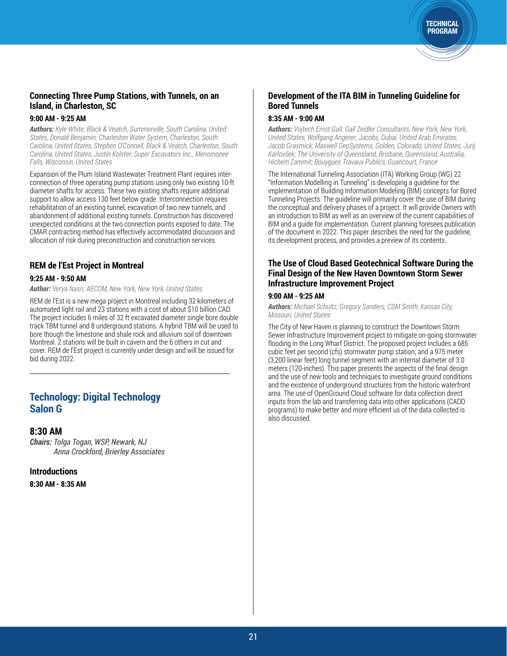### **Connecting Three Pump Stations, with Tunnels, on an Island, in Charleston, SC**

#### **9:00 AM - 9:25 AM**

*Authors: Kyle White; Black & Veatch, Summerville, South Carolina, United States, Donald Benjamin; Charleston Water System, Charleston, South Carolina, United States, Stephen O'Connell; Black & Veatch, Charleston, South Carolina, United States, Justin Kolster; Super Excavators Inc., Menomonee Falls, Wisconsin, United States*

Expansion of the Plum Island Wastewater Treatment Plant requires interconnection of three operating pump stations using only two existing 10-ft diameter shafts for access. These two existing shafts require additional support to allow access 130 feet below grade. Interconnection requires rehabilitation of an existing tunnel, excavation of two new tunnels, and abandonment of additional existing tunnels. Construction has discovered unexpected conditions at the two connection points exposed to date. The CMAR contracting method has effectively accommodated discussion and allocation of risk during preconstruction and construction services.

### **REM de l'Est Project in Montreal**

### **9:25 AM - 9:50 AM**

*Author: Verya Nasri; AECOM, New York, New York, United States*

REM de l'Est is a new mega project in Montreal including 32 kilometers of automated light rail and 23 stations with a cost of about \$10 billion CAD. The project includes 6 miles of 32 ft excavated diameter single bore double track TBM tunnel and 8 underground stations. A hybrid TBM will be used to bore though the limestone and shale rock and alluvium soil of downtown Montreal. 2 stations will be built in cavern and the 6 others in cut and cover. REM de l'Est project is currently under design and will be issued for bid during 2022.

### **Technology: Digital Technology Salon G**

#### **8:30 AM**

*Chairs: Tolga Togan, WSP, Newark, NJ Anna Crockford, Brierley Associates*

**Introductions** 

**8:30 AM - 8:35 AM**

### **Development of the ITA BIM in Tunneling Guideline for Bored Tunnels**

TECHNICAL PROGRAM

### **8:35 AM - 9:00 AM**

*Authors: Vojtech Ernst Gall; Gall Zeidler Consultants, New York, New York, United States, Wolfgang Angerer; Jacobs, Dubai, United Arab Emirates, Jacob Grasmick; Maxwell GeoSystems, Golden, Colorado, United States, Jurij Karlovšek; The University of Queensland, Brisbane, Queensland, Australia, Hichem Zammit; Bouygues Travaux Publics, Guancourt, France*

The International Tunneling Association (ITA) Working Group (WG) 22 "Information Modelling in Tunneling" is developing a guideline for the implementation of Building Information Modeling (BIM) concepts for Bored Tunneling Projects. The guideline will primarily cover the use of BIM during the conceptual and delivery phases of a project. It will provide Owners with an introduction to BIM as well as an overview of the current capabilities of BIM and a guide for implementation. Current planning foresees publication of the document in 2022. This paper describes the need for the guideline, its development process, and provides a preview of its contents.

### **The Use of Cloud Based Geotechnical Software During the Final Design of the New Haven Downtown Storm Sewer Infrastructure Improvement Project**

#### **9:00 AM - 9:25 AM**

*Authors: Michael Schultz, Gregory Sanders; CDM Smith, Kansas City, Missouri, United States*

The City of New Haven is planning to construct the Downtown Storm Sewer Infrastructure Improvement project to mitigate on-going stormwater flooding in the Long Wharf District. The proposed project includes a 685 cubic feet per second (cfs) stormwater pump station; and a 975 meter (3,200 linear feet) long tunnel segment with an internal diameter of 3.0 meters (120-inches). This paper presents the aspects of the final design and the use of new tools and techniques to investigate ground conditions and the existence of underground structures from the historic waterfront area. The use of OpenGround Cloud software for data collection direct inputs from the lab and transferring data into other applications (CADD programs) to make better and more efficient us of the data collected is also discussed.